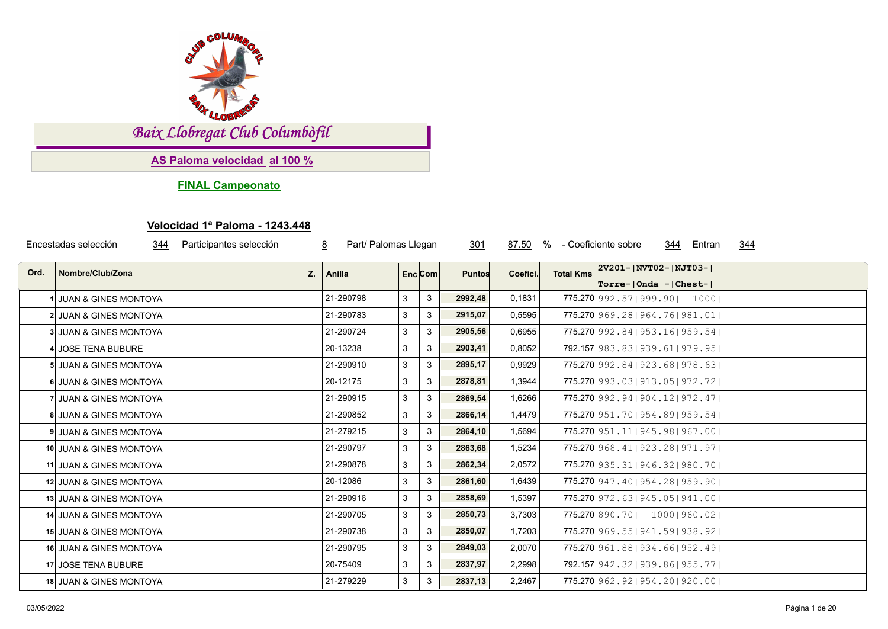

*Baix Llobregat Club Columbòfil*

**AS Paloma velocidad al 100 %**

**FINAL Campeonato**

## **Velocidad 1ª Paloma - 1243.448**

|      | Encestadas selección<br>344        | Participantes selección | Part/ Palomas Llegan<br>8 |   |         | 301           | 87.50    | % - Coeficiente sobre |                                                                  | 344 | Entran | 344 |  |
|------|------------------------------------|-------------------------|---------------------------|---|---------|---------------|----------|-----------------------|------------------------------------------------------------------|-----|--------|-----|--|
| Ord. | Nombre/Club/Zona                   | Z.                      | Anilla                    |   | Enc Com | <b>Puntos</b> | Coefici. | <b>Total Kms</b>      | $ 2V201 -  NVT02 -  NJT03 -  $<br>$Torre -   Onda -   Chest -  $ |     |        |     |  |
|      | <b>JUAN &amp; GINES MONTOYA</b>    |                         | 21-290798                 | 3 | 3       | 2992,48       | 0,1831   |                       | 775.270 992.57   999.90   1000                                   |     |        |     |  |
|      | 2 JUAN & GINES MONTOYA             |                         | 21-290783                 | 3 | 3       | 2915,07       | 0,5595   |                       | 775.270 969.28   964.76   981.01                                 |     |        |     |  |
|      | 3 JUAN & GINES MONTOYA             |                         | 21-290724                 | 3 | 3       | 2905,56       | 0,6955   |                       | 775.270 992.84   953.16   959.54                                 |     |        |     |  |
|      | 4 JOSE TENA BUBURE                 |                         | 20-13238                  | 3 | 3       | 2903,41       | 0,8052   |                       | 792.157 983.83   939.61   979.95                                 |     |        |     |  |
|      | <b>5 JUAN &amp; GINES MONTOYA</b>  |                         | 21-290910                 | 3 | 3       | 2895,17       | 0,9929   |                       | 775.270 992.84   923.68   978.63                                 |     |        |     |  |
|      | 6 JUAN & GINES MONTOYA             |                         | 20-12175                  | 3 | 3       | 2878,81       | 1,3944   |                       | 775.270 993.03   913.05   972.72                                 |     |        |     |  |
|      | 7 JUAN & GINES MONTOYA             |                         | 21-290915                 | 3 | 3       | 2869,54       | 1,6266   |                       | 775.270 992.94   904.12   972.47                                 |     |        |     |  |
|      | <b>8 JUAN &amp; GINES MONTOYA</b>  |                         | 21-290852                 | 3 | 3       | 2866,14       | 1,4479   |                       | 775.270 951, 70   954, 89   959, 54                              |     |        |     |  |
|      | <b>9 JUAN &amp; GINES MONTOYA</b>  |                         | 21-279215                 | 3 | 3       | 2864,10       | 1,5694   |                       | 775.270 951.11   945.98   967.00                                 |     |        |     |  |
|      | 10 JUAN & GINES MONTOYA            |                         | 21-290797                 | 3 | 3       | 2863,68       | 1,5234   |                       | 775.270 968.41   923.28   971.97                                 |     |        |     |  |
|      | 11 JUAN & GINES MONTOYA            |                         | 21-290878                 | 3 | 3       | 2862,34       | 2,0572   |                       | 775.270 935, 31   946, 32   980, 70                              |     |        |     |  |
|      | 12 JUAN & GINES MONTOYA            |                         | 20-12086                  | 3 | 3       | 2861,60       | 1,6439   |                       | 775.270 947.40   954.28   959.90                                 |     |        |     |  |
|      | 13 JUAN & GINES MONTOYA            |                         | 21-290916                 | 3 | 3       | 2858,69       | 1,5397   |                       | 775.270 972.63   945.05   941.00                                 |     |        |     |  |
|      | 14 JUAN & GINES MONTOYA            |                         | 21-290705                 | 3 | 3       | 2850,73       | 3,7303   |                       | 775.270 890.70   1000   960.02                                   |     |        |     |  |
|      | 15 JUAN & GINES MONTOYA            |                         | 21-290738                 | 3 | 3       | 2850,07       | 1,7203   |                       | 775.270 969.55   941.59   938.92                                 |     |        |     |  |
|      | <b>16 JUAN &amp; GINES MONTOYA</b> |                         | 21-290795                 | 3 | 3       | 2849,03       | 2,0070   |                       | 775.270 961.88   934.66   952.49                                 |     |        |     |  |
|      | 17 JOSE TENA BUBURE                |                         | 20-75409                  | 3 | 3       | 2837,97       | 2,2998   |                       | 792.157 942.32   939.86   955.77                                 |     |        |     |  |
|      | 18 JUAN & GINES MONTOYA            |                         | 21-279229                 | 3 | 3       | 2837,13       | 2,2467   |                       | 775.270 962, 92   954, 20   920, 00                              |     |        |     |  |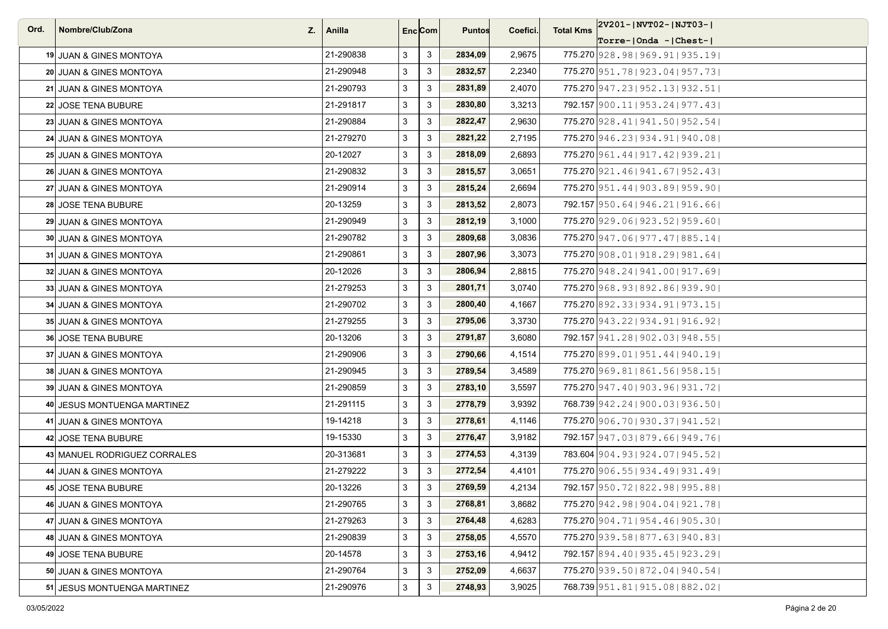| Ord. | Nombre/Club/Zona             | $Z_i$   Anilla |   | Enc <sub>i</sub> Com | <b>Puntos</b> | Coefici. | <b>Total Kms</b> | 2V201- NVT02- NJT03-                |
|------|------------------------------|----------------|---|----------------------|---------------|----------|------------------|-------------------------------------|
|      |                              |                |   |                      |               |          |                  | $ Torre- Onda -  Chest- $           |
|      | 19 JUAN & GINES MONTOYA      | 21-290838      | 3 | 3                    | 2834,09       | 2,9675   |                  | 775.270 928.98   969.91   935.19    |
|      | 20 JUAN & GINES MONTOYA      | 21-290948      | 3 | $\mathbf{3}$         | 2832,57       | 2,2340   |                  | 775.270 951, 78   923, 04   957, 73 |
|      | 21 JUAN & GINES MONTOYA      | 21-290793      | 3 | $\mathbf{3}$         | 2831,89       | 2,4070   |                  | 775.270 947.23   952.13   932.51    |
|      | 22 JOSE TENA BUBURE          | 21-291817      | 3 | 3                    | 2830,80       | 3,3213   |                  | 792.157 900.11   953.24   977.43    |
|      | 23 JUAN & GINES MONTOYA      | 21-290884      | 3 | 3                    | 2822,47       | 2,9630   |                  | 775.270 928.41   941.50   952.54    |
|      | 24 JUAN & GINES MONTOYA      | 21-279270      | 3 | 3                    | 2821,22       | 2,7195   |                  | 775.270 946.23   934.91   940.08    |
|      | 25 JUAN & GINES MONTOYA      | 20-12027       | 3 | 3                    | 2818,09       | 2,6893   |                  | 775.270 961.44   917.42   939.21    |
|      | 26 JUAN & GINES MONTOYA      | 21-290832      | 3 | 3                    | 2815,57       | 3,0651   |                  | 775.270 921.46   941.67   952.43    |
|      | 27 JUAN & GINES MONTOYA      | 21-290914      | 3 | $\mathbf{3}$         | 2815,24       | 2,6694   |                  | 775.270 951.44   903.89   959.90    |
|      | 28 JOSE TENA BUBURE          | 20-13259       | 3 | 3                    | 2813,52       | 2,8073   |                  | 792.157 950.64   946.21   916.66    |
|      | 29 JUAN & GINES MONTOYA      | 21-290949      | 3 | $\mathbf{3}$         | 2812,19       | 3,1000   |                  | 775.270 929.06   923.52   959.60    |
|      | 30 JUAN & GINES MONTOYA      | 21-290782      | 3 | 3                    | 2809,68       | 3,0836   |                  | 775.270 947.06   977.47   885.14    |
|      | 31 JUAN & GINES MONTOYA      | 21-290861      | 3 | 3                    | 2807,96       | 3,3073   |                  | 775.270 908.01   918.29   981.64    |
|      | 32 JUAN & GINES MONTOYA      | 20-12026       | 3 | 3                    | 2806,94       | 2,8815   |                  | 775.270 948.24   941.00   917.69    |
|      | 33 JUAN & GINES MONTOYA      | 21-279253      | 3 | $\mathbf{3}$         | 2801,71       | 3,0740   |                  | 775.270 968.93   892.86   939.90    |
|      | 34 JUAN & GINES MONTOYA      | 21-290702      | 3 | 3                    | 2800,40       | 4,1667   |                  | 775.270 892.33   934.91   973.15    |
|      | 35 JUAN & GINES MONTOYA      | 21-279255      | 3 | $\mathbf{3}$         | 2795,06       | 3,3730   |                  | 775.270 943.22   934.91   916.92    |
|      | <b>36 JOSE TENA BUBURE</b>   | 20-13206       | 3 | 3                    | 2791,87       | 3,6080   |                  | 792.157 941, 28   902, 03   948, 55 |
|      | 37 JUAN & GINES MONTOYA      | 21-290906      | 3 | 3                    | 2790,66       | 4,1514   |                  | 775.270 899.01   951.44   940.19    |
|      | 38 JUAN & GINES MONTOYA      | 21-290945      | 3 | 3                    | 2789,54       | 3,4589   |                  | 775.270 969.81   861.56   958.15    |
|      | 39 JUAN & GINES MONTOYA      | 21-290859      | 3 | 3                    | 2783,10       | 3,5597   |                  | 775.270 947.40   903.96   931.72    |
|      | 40 JESUS MONTUENGA MARTINEZ  | 21-291115      | 3 | 3                    | 2778,79       | 3,9392   |                  | 768.739 942.24   900.03   936.50    |
|      | 41 JUAN & GINES MONTOYA      | 19-14218       | 3 | 3                    | 2778,61       | 4,1146   |                  | 775.270 906.70   930.37   941.52    |
|      | 42 JOSE TENA BUBURE          | 19-15330       | 3 | 3                    | 2776,47       | 3,9182   |                  | 792.157 947.03   879.66   949.76    |
|      | 43 MANUEL RODRIGUEZ CORRALES | 20-313681      | 3 | $\mathbf{3}$         | 2774,53       | 4,3139   |                  | 783.604 904.93 924.07 945.52        |
|      | 44 JUAN & GINES MONTOYA      | 21-279222      | 3 | 3                    | 2772,54       | 4,4101   |                  | 775.270 906.55   934.49   931.49    |
|      | 45 JOSE TENA BUBURE          | 20-13226       | 3 | 3                    | 2769,59       | 4,2134   |                  | 792.157 950.72   822.98   995.88    |
|      | 46 JUAN & GINES MONTOYA      | 21-290765      | 3 | $\mathbf{3}$         | 2768,81       | 3,8682   |                  | 775.270 942.98   904.04   921.78    |
|      | 47 JUAN & GINES MONTOYA      | 21-279263      | 3 | $\mathbf{3}$         | 2764,48       | 4,6283   |                  | 775.270 904.71   954.46   905.30    |
|      | 48 JUAN & GINES MONTOYA      | 21-290839      | 3 | $\mathbf{3}$         | 2758,05       | 4,5570   |                  | 775.270 939.58   877.63   940.83    |
|      | 49 JOSE TENA BUBURE          | 20-14578       | 3 | 3                    | 2753,16       | 4,9412   |                  | 792.157 894.40   935.45   923.29    |
|      | 50 JUAN & GINES MONTOYA      | 21-290764      | 3 | 3                    | 2752,09       | 4,6637   |                  | 775.270 939.50   872.04   940.54    |
|      | 51 JESUS MONTUENGA MARTINEZ  | 21-290976      | 3 | $\mathbf{3}$         | 2748,93       | 3,9025   |                  | 768.739 951.81   915.08   882.02    |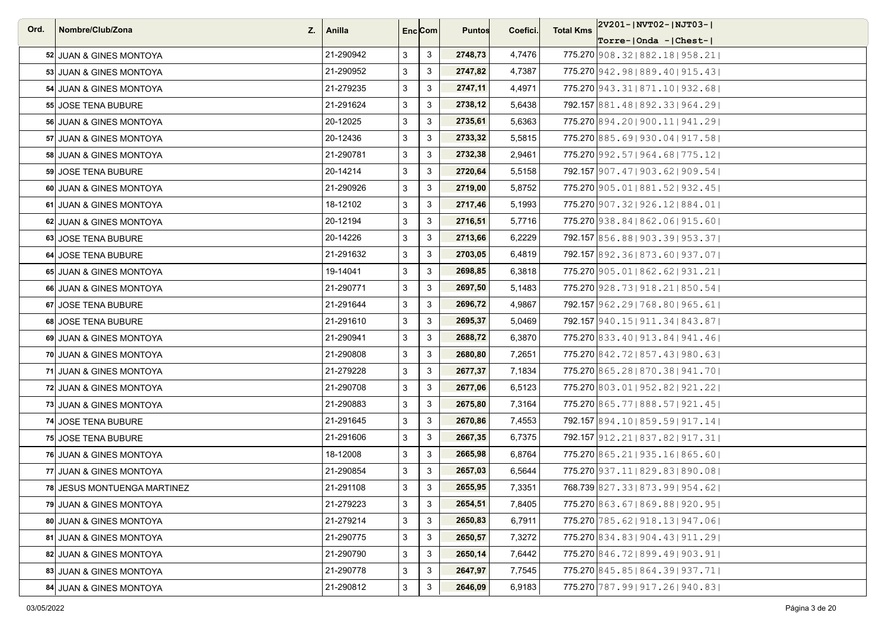| Ord. | Nombre/Club/Zona            | $Z_i$   Anilla |              | Enc <sub>i</sub> Com | <b>Puntos</b> | Coefici. | <b>Total Kms</b> | 2V201- NVT02- NJT03-                |
|------|-----------------------------|----------------|--------------|----------------------|---------------|----------|------------------|-------------------------------------|
|      |                             |                |              |                      |               |          |                  | $ Torre- Onda -  Chest- $           |
|      | 52 JUAN & GINES MONTOYA     | 21-290942      | 3            | 3                    | 2748,73       | 4,7476   |                  | 775.270 908.32   882.18   958.21    |
|      | 53 JUAN & GINES MONTOYA     | 21-290952      | 3            | $\mathbf{3}$         | 2747,82       | 4,7387   |                  | 775.270 942.98   889.40   915.43    |
|      | 54 JUAN & GINES MONTOYA     | 21-279235      | 3            | $\mathbf{3}$         | 2747,11       | 4,4971   |                  | 775.270 943.31   871.10   932.68    |
|      | 55 JOSE TENA BUBURE         | 21-291624      | 3            | 3                    | 2738,12       | 5,6438   |                  | 792.157 881.48   892.33   964.29    |
|      | 56 JUAN & GINES MONTOYA     | 20-12025       | 3            | 3                    | 2735,61       | 5,6363   |                  | 775.270 894.20   900.11   941.29    |
|      | 57 JUAN & GINES MONTOYA     | 20-12436       | 3            | 3                    | 2733,32       | 5,5815   |                  | 775.270 885.69   930.04   917.58    |
|      | 58 JUAN & GINES MONTOYA     | 21-290781      | 3            | 3                    | 2732,38       | 2,9461   |                  | 775.270 992.57   964.68   775.12    |
|      | 59 JOSE TENA BUBURE         | 20-14214       | 3            | 3                    | 2720,64       | 5,5158   |                  | 792.157 907.47   903.62   909.54    |
|      | 60 JUAN & GINES MONTOYA     | 21-290926      | 3            | $\mathbf{3}$         | 2719,00       | 5,8752   |                  | 775.270 905.01   881.52   932.45    |
|      | 61 JUAN & GINES MONTOYA     | 18-12102       | 3            | 3                    | 2717,46       | 5,1993   |                  | 775.270 907.32   926.12   884.01    |
|      | 62 JUAN & GINES MONTOYA     | 20-12194       | 3            | $\mathbf{3}$         | 2716,51       | 5,7716   |                  | 775.270 938.84   862.06   915.60    |
|      | 63 JOSE TENA BUBURE         | 20-14226       | 3            | 3                    | 2713,66       | 6,2229   |                  | 792.157 856.88   903.39   953.37    |
|      | 64 JOSE TENA BUBURE         | 21-291632      | 3            | 3                    | 2703,05       | 6,4819   |                  | 792.157 892.36 873.60 937.07        |
|      | 65 JUAN & GINES MONTOYA     | 19-14041       | $\mathbf{3}$ | $\mathbf{3}$         | 2698,85       | 6,3818   |                  | 775.270 905.01   862.62   931.21    |
|      | 66 JUAN & GINES MONTOYA     | 21-290771      | 3            | $\mathbf{3}$         | 2697,50       | 5,1483   |                  | 775.270 928.73   918.21   850.54    |
|      | 67 JOSE TENA BUBURE         | 21-291644      | 3            | 3                    | 2696,72       | 4,9867   |                  | 792.157 962.29   768.80   965.61    |
|      | 68 JOSE TENA BUBURE         | 21-291610      | 3            | $\mathbf{3}$         | 2695,37       | 5,0469   |                  | 792.157 940.15   911.34   843.87    |
|      | 69 JUAN & GINES MONTOYA     | 21-290941      | 3            | 3                    | 2688,72       | 6,3870   |                  | 775.270 833, 40   913, 84   941, 46 |
|      | 70 JUAN & GINES MONTOYA     | 21-290808      | 3            | 3                    | 2680,80       | 7,2651   |                  | 775.270 842.72   857.43   980.63    |
|      | 71 JUAN & GINES MONTOYA     | 21-279228      | 3            | 3                    | 2677,37       | 7,1834   |                  | 775.270 865.28 870.38 941.70        |
|      | 72 JUAN & GINES MONTOYA     | 21-290708      | 3            | 3                    | 2677,06       | 6,5123   |                  | 775.270 803.01   952.82   921.22    |
|      | 73 JUAN & GINES MONTOYA     | 21-290883      | 3            | 3                    | 2675,80       | 7,3164   |                  | 775.270 865.77 888.57   921.45      |
|      | 74 JOSE TENA BUBURE         | 21-291645      | 3            | 3                    | 2670,86       | 7,4553   |                  | 792.157 894.10   859.59   917.14    |
|      | <b>75 JOSE TENA BUBURE</b>  | 21-291606      | 3            | 3                    | 2667,35       | 6,7375   |                  | 792.157 912.21   837.82   917.31    |
|      | 76 JUAN & GINES MONTOYA     | 18-12008       | 3            | $\mathbf{3}$         | 2665,98       | 6,8764   |                  | 775.270 865.21   935.16   865.60    |
|      | 77 JUAN & GINES MONTOYA     | 21-290854      | 3            | 3                    | 2657,03       | 6,5644   |                  | 775.270 937.11   829.83   890.08    |
|      | 78 JESUS MONTUENGA MARTINEZ | 21-291108      | 3            | 3                    | 2655,95       | 7,3351   |                  | 768.739 827.33   873.99   954.62    |
|      | 79 JUAN & GINES MONTOYA     | 21-279223      | 3            | $\mathbf{3}$         | 2654,51       | 7,8405   |                  | 775.270 863.67   869.88   920.95    |
|      | 80 JUAN & GINES MONTOYA     | 21-279214      | 3            | $\mathbf{3}$         | 2650,83       | 6,7911   |                  | 775.270 785.62   918.13   947.06    |
|      | 81 JUAN & GINES MONTOYA     | 21-290775      | 3            | $\mathbf{3}$         | 2650,57       | 7,3272   |                  | 775.270 834.83   904.43   911.29    |
|      | 82 JUAN & GINES MONTOYA     | 21-290790      | 3            | 3                    | 2650,14       | 7,6442   |                  | 775.270 846.72 899.49 903.91        |
|      | 83 JUAN & GINES MONTOYA     | 21-290778      | 3            | 3                    | 2647,97       | 7,7545   |                  | 775.270 845.85 864.39 937.71        |
|      | 84 JUAN & GINES MONTOYA     | 21-290812      | 3            | $\mathbf{3}$         | 2646,09       | 6,9183   |                  | 775.270 787.99   917.26   940.83    |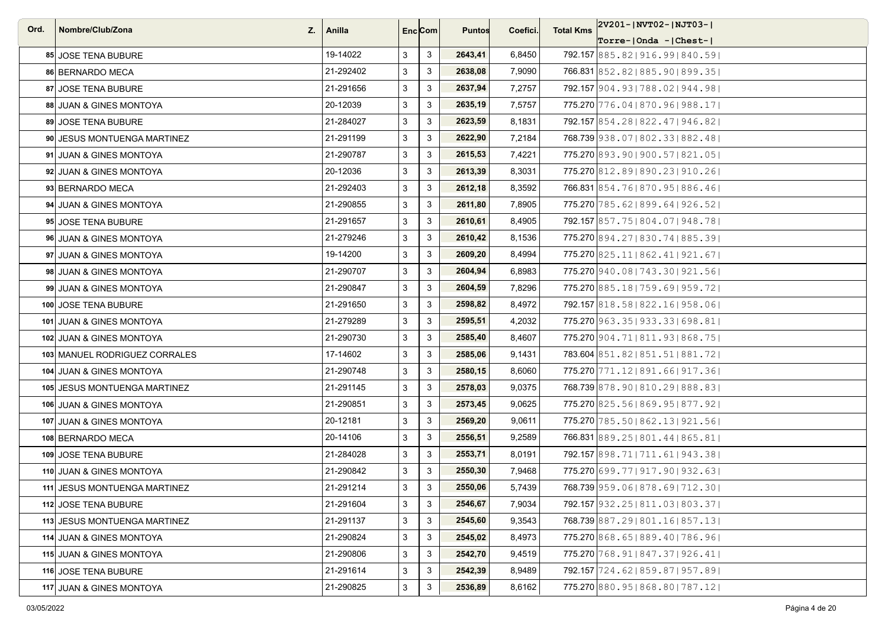| Ord. | Nombre/Club/Zona<br>Z.        | Anilla    | Enc <sub>i</sub> Com |                           | <b>Puntos</b> | Coefici. | <b>Total Kms</b> | $ 2V201 -  NVT02 -  NJT03 -  $      |
|------|-------------------------------|-----------|----------------------|---------------------------|---------------|----------|------------------|-------------------------------------|
|      |                               |           |                      |                           |               |          |                  | $ Torre- Onda -  Chest- $           |
|      | 85 JOSE TENA BUBURE           | 19-14022  | 3                    | 3                         | 2643,41       | 6,8450   |                  | 792.157 885.82   916.99   840.59    |
|      | 86 BERNARDO MECA              | 21-292402 | 3                    | 3                         | 2638,08       | 7,9090   |                  | 766.831 852.82 885.90 899.35        |
|      | 87 JOSE TENA BUBURE           | 21-291656 | 3                    | 3                         | 2637,94       | 7,2757   |                  | 792.157 904.93   788.02   944.98    |
|      | 88 JUAN & GINES MONTOYA       | 20-12039  | 3                    | 3                         | 2635,19       | 7,5757   |                  | 775.270 776.04   870.96   988.17    |
|      | 89 JOSE TENA BUBURE           | 21-284027 | 3                    | $\mathbf{3}$              | 2623,59       | 8,1831   |                  | 792.157 854.28 822.47   946.82      |
|      | 90 JESUS MONTUENGA MARTINEZ   | 21-291199 | 3                    | 3                         | 2622,90       | 7,2184   |                  | 768.739 938.07   802.33   882.48    |
|      | 91 JUAN & GINES MONTOYA       | 21-290787 | 3                    | 3                         | 2615,53       | 7,4221   |                  | 775.270 893.90   900.57   821.05    |
|      | 92 JUAN & GINES MONTOYA       | 20-12036  | 3                    | 3                         | 2613,39       | 8,3031   |                  | 775.270 812, 89   890, 23   910, 26 |
|      | 93 BERNARDO MECA              | 21-292403 | 3                    | 3                         | 2612,18       | 8,3592   |                  | 766.831 854.76   870.95   886.46    |
|      | 94 JUAN & GINES MONTOYA       | 21-290855 | 3                    | 3                         | 2611,80       | 7,8905   |                  | 775.270 785.62   899.64   926.52    |
|      | 95 JOSE TENA BUBURE           | 21-291657 | 3                    | 3                         | 2610.61       | 8,4905   |                  | 792.157 857.75 804.07 948.78        |
|      | 96 JUAN & GINES MONTOYA       | 21-279246 | 3                    | 3                         | 2610,42       | 8,1536   |                  | 775.270 894.27   830.74   885.39    |
|      | 97 JUAN & GINES MONTOYA       | 19-14200  | 3                    | 3                         | 2609,20       | 8,4994   |                  | 775.270 825, 11   862, 41   921, 67 |
|      | 98 JUAN & GINES MONTOYA       | 21-290707 | 3                    | 3                         | 2604,94       | 6,8983   |                  | 775.270 940.08   743.30   921.56    |
|      | 99 JUAN & GINES MONTOYA       | 21-290847 | 3                    | 3                         | 2604,59       | 7,8296   |                  | 775.270 885.18   759.69   959.72    |
|      | 100 JOSE TENA BUBURE          | 21-291650 | 3                    | 3                         | 2598,82       | 8,4972   |                  | 792.157 818, 58 822, 16 958, 06     |
|      | 101 JUAN & GINES MONTOYA      | 21-279289 | 3                    | 3                         | 2595,51       | 4,2032   |                  | 775.270 963.35   933.33   698.81    |
|      | 102 JUAN & GINES MONTOYA      | 21-290730 | 3                    | 3                         | 2585,40       | 8,4607   |                  | 775.270 904.71   811.93   868.75    |
|      | 103 MANUEL RODRIGUEZ CORRALES | 17-14602  | 3                    | 3                         | 2585,06       | 9,1431   |                  | 783.604 851.82 851.51 881.72        |
|      | 104 JUAN & GINES MONTOYA      | 21-290748 | 3                    | 3                         | 2580,15       | 8,6060   |                  | 775.270 771.12   891.66   917.36    |
|      | 105 JESUS MONTUENGA MARTINEZ  | 21-291145 | 3                    | 3                         | 2578,03       | 9,0375   |                  | 768.739 878.90   810.29   888.83    |
|      | 106 JUAN & GINES MONTOYA      | 21-290851 | 3                    | 3                         | 2573,45       | 9,0625   |                  | 775.270 825.56 869.95 877.92        |
|      | 107 JUAN & GINES MONTOYA      | 20-12181  | 3                    | 3                         | 2569,20       | 9,0611   |                  | 775.270 785.50   862.13   921.56    |
|      | 108 BERNARDO MECA             | 20-14106  | 3                    | 3                         | 2556,51       | 9,2589   |                  | 766.831 889.25   801.44   865.81    |
|      | 109 JOSE TENA BUBURE          | 21-284028 | 3                    | 3                         | 2553,71       | 8,0191   |                  | 792.157 898.71   711.61   943.38    |
|      | 110 JUAN & GINES MONTOYA      | 21-290842 | 3                    | 3                         | 2550,30       | 7,9468   |                  | 775.270 699.77   917.90   932.63    |
|      | 111 JESUS MONTUENGA MARTINEZ  | 21-291214 | 3                    | 3                         | 2550,06       | 5,7439   |                  | 768.739 959.06   878.69   712.30    |
|      | 112 JOSE TENA BUBURE          | 21-291604 | 3                    | $\mathbf{3}$              | 2546,67       | 7,9034   |                  | 792.157 932.25   811.03   803.37    |
|      | 113 JESUS MONTUENGA MARTINEZ  | 21-291137 | 3                    | $\mathbf{3}$              | 2545,60       | 9,3543   |                  | 768.739 887.29 801.16 857.13        |
|      | 114 JUAN & GINES MONTOYA      | 21-290824 | 3                    | $\ensuremath{\mathsf{3}}$ | 2545,02       | 8,4973   |                  | 775.270 868.65 889.40   786.96      |
|      | 115 JUAN & GINES MONTOYA      | 21-290806 | 3                    | 3                         | 2542,70       | 9,4519   |                  | 775.270 768.91   847.37   926.41    |
|      | 116 JOSE TENA BUBURE          | 21-291614 | 3                    | $\mathbf{3}$              | 2542,39       | 8,9489   |                  | 792.157 724.62   859.87   957.89    |
|      | 117 JUAN & GINES MONTOYA      | 21-290825 | 3                    | $\mathbf{3}$              | 2536,89       | 8,6162   |                  | 775.270 880.95   868.80   787.12    |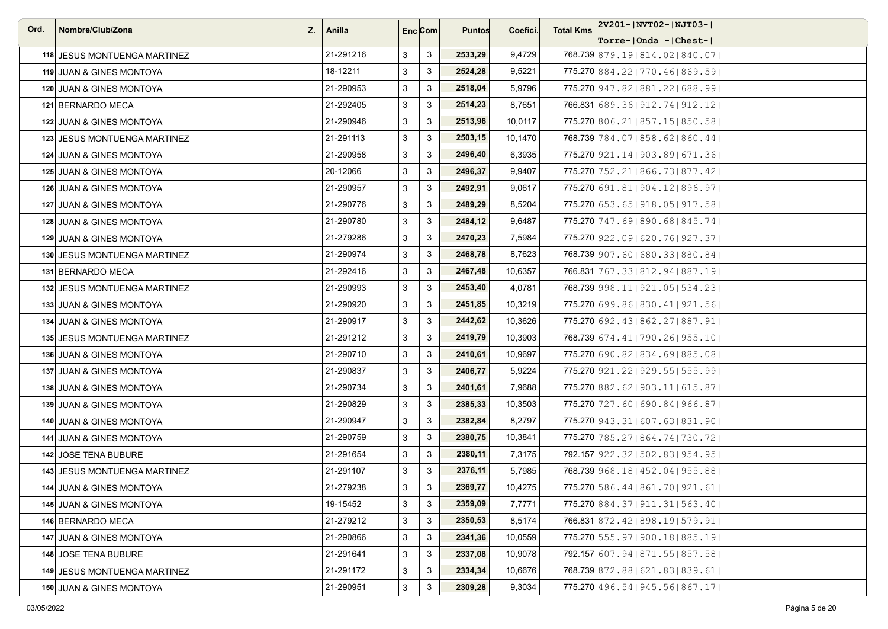| Ord. | Nombre/Club/Zona                    | $Z_{\cdot}$   Anilla |   | Enc <sub>i</sub> Com | <b>Puntos</b> | Coefici. | <b>Total Kms</b> | 2V201- NVT02- NJT03-                |
|------|-------------------------------------|----------------------|---|----------------------|---------------|----------|------------------|-------------------------------------|
|      |                                     |                      |   |                      |               |          |                  | Torre- Onda - Chest-                |
|      | 118 JESUS MONTUENGA MARTINEZ        | 21-291216            | 3 | 3                    | 2533,29       | 9,4729   |                  | 768.739 879.19 814.02 840.07        |
|      | 119 JUAN & GINES MONTOYA            | 18-12211             | 3 | 3                    | 2524,28       | 9,5221   |                  | 775.270 884, 22   770, 46   869, 59 |
|      | 120 JUAN & GINES MONTOYA            | 21-290953            | 3 | 3                    | 2518,04       | 5,9796   |                  | 775.270 947.82   881.22   688.99    |
|      | 121 BERNARDO MECA                   | 21-292405            | 3 | 3                    | 2514,23       | 8,7651   |                  | 766.831 689.36   912.74   912.12    |
|      | 122 JUAN & GINES MONTOYA            | 21-290946            | 3 | 3                    | 2513,96       | 10,0117  |                  | 775.270 806.21   857.15   850.58    |
|      | 123 JESUS MONTUENGA MARTINEZ        | 21-291113            | 3 | 3                    | 2503,15       | 10,1470  |                  | 768.739 784.07   858.62   860.44    |
|      | 124 JUAN & GINES MONTOYA            | 21-290958            | 3 | 3                    | 2496,40       | 6,3935   |                  | 775.270 921.14   903.89   671.36    |
|      | 125 JUAN & GINES MONTOYA            | 20-12066             | 3 | 3                    | 2496,37       | 9,9407   |                  | 775.270 752.21   866.73   877.42    |
|      | 126 JUAN & GINES MONTOYA            | 21-290957            | 3 | 3                    | 2492,91       | 9,0617   |                  | 775.270 691.81   904.12   896.97    |
|      | 127 JUAN & GINES MONTOYA            | 21-290776            | 3 | 3                    | 2489,29       | 8,5204   |                  | 775.270 653.65   918.05   917.58    |
|      | 128 JUAN & GINES MONTOYA            | 21-290780            | 3 | 3                    | 2484,12       | 9,6487   |                  | 775.270 747.69 890.68 845.74        |
|      | 129 JUAN & GINES MONTOYA            | 21-279286            | 3 | 3                    | 2470,23       | 7,5984   |                  | 775.270 922.09   620.76   927.37    |
|      | 130 JESUS MONTUENGA MARTINEZ        | 21-290974            | 3 | 3                    | 2468,78       | 8,7623   |                  | 768.739 907.60   680.33   880.84    |
|      | 131 BERNARDO MECA                   | 21-292416            | 3 | 3                    | 2467,48       | 10,6357  |                  | 766.831 767.33   812.94   887.19    |
|      | 132 JESUS MONTUENGA MARTINEZ        | 21-290993            | 3 | 3                    | 2453.40       | 4,0781   |                  | 768.739 998.11   921.05   534.23    |
|      | 133 JUAN & GINES MONTOYA            | 21-290920            | 3 | 3                    | 2451,85       | 10,3219  |                  | 775.270 699.86   830.41   921.56    |
|      | 134 JUAN & GINES MONTOYA            | 21-290917            | 3 | 3                    | 2442,62       | 10,3626  |                  | 775.270 692.43   862.27   887.91    |
|      | <b>135 JESUS MONTUENGA MARTINEZ</b> | 21-291212            | 3 | 3                    | 2419,79       | 10,3903  |                  | 768.739 674.41   790.26   955.10    |
|      | 136 JUAN & GINES MONTOYA            | 21-290710            | 3 | 3                    | 2410,61       | 10,9697  |                  | 775.270 690.82   834.69   885.08    |
|      | 137 JUAN & GINES MONTOYA            | 21-290837            | 3 | 3                    | 2406,77       | 5,9224   |                  | 775.270 921.22   929.55   555.99    |
|      | 138 JUAN & GINES MONTOYA            | 21-290734            | 3 | 3                    | 2401,61       | 7,9688   |                  | 775.270 882.62   903.11   615.87    |
|      | 139 JUAN & GINES MONTOYA            | 21-290829            | 3 | 3                    | 2385,33       | 10,3503  |                  | 775.270 727, 60   690, 84   966, 87 |
|      | 140 JUAN & GINES MONTOYA            | 21-290947            | 3 | 3                    | 2382,84       | 8,2797   |                  | 775.270 943.31   607.63   831.90    |
|      | <b>141 JUAN &amp; GINES MONTOYA</b> | 21-290759            | 3 | 3                    | 2380,75       | 10,3841  |                  | 775.270 785.27   864.74   730.72    |
|      | 142 JOSE TENA BUBURE                | 21-291654            | 3 | $\mathbf{3}$         | 2380,11       | 7,3175   |                  | 792.157 922.32   502.83   954.95    |
|      | 143 JESUS MONTUENGA MARTINEZ        | 21-291107            | 3 | 3                    | 2376,11       | 5,7985   |                  | 768.739 968.18   452.04   955.88    |
|      | 144 JUAN & GINES MONTOYA            | 21-279238            | 3 | 3                    | 2369,77       | 10,4275  |                  | 775.270 586.44   861.70   921.61    |
|      | 145 JUAN & GINES MONTOYA            | 19-15452             | 3 | $\mathbf{3}$         | 2359,09       | 7,7771   |                  | 775.270 884.37   911.31   563.40    |
|      | 146 BERNARDO MECA                   | 21-279212            | 3 | 3                    | 2350,53       | 8,5174   |                  | 766.831 872.42   898.19   579.91    |
|      | 147 JUAN & GINES MONTOYA            | 21-290866            | 3 | 3                    | 2341,36       | 10,0559  |                  | 775.270 555.97   900.18   885.19    |
|      | 148 JOSE TENA BUBURE                | 21-291641            | 3 | 3                    | 2337,08       | 10,9078  |                  | 792.157 607.94   871.55   857.58    |
|      | 149 JESUS MONTUENGA MARTINEZ        | 21-291172            | 3 | 3                    | 2334,34       | 10,6676  |                  | 768.739 872.88   621.83   839.61    |
|      | 150 JUAN & GINES MONTOYA            | 21-290951            | 3 | $\mathbf{3}$         | 2309,28       | 9,3034   |                  | 775.270 496.54   945.56   867.17    |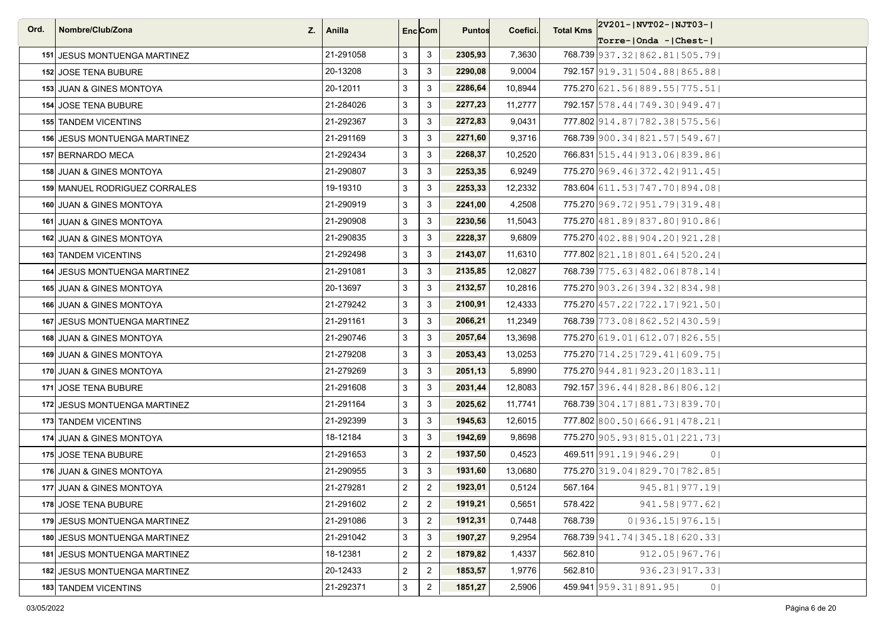| Ord. | Nombre/Club/Zona<br>Z.              | Anilla    |                | Enc <sub>i</sub> Com | <b>Puntos</b> | Coefici. | <b>Total Kms</b> | 2V201- NVT02- NJT03-                        |
|------|-------------------------------------|-----------|----------------|----------------------|---------------|----------|------------------|---------------------------------------------|
|      |                                     |           |                |                      |               |          |                  | Torre- Onda - Chest-                        |
|      | 151 JESUS MONTUENGA MARTINEZ        | 21-291058 | 3              | 3                    | 2305,93       | 7,3630   |                  | 768.739 937.32   862.81   505.79            |
|      | <b>152 JOSE TENA BUBURE</b>         | 20-13208  | 3              | 3                    | 2290,08       | 9,0004   |                  | 792.157 919.31 504.88 865.88                |
|      | 153 JUAN & GINES MONTOYA            | 20-12011  | 3              | 3                    | 2286,64       | 10,8944  |                  | 775.270 621.56   889.55   775.51            |
|      | <b>154 JOSE TENA BUBURE</b>         | 21-284026 | 3              | 3                    | 2277,23       | 11,2777  |                  | 792.157 578.44   749.30   949.47            |
|      | <b>155 TANDEM VICENTINS</b>         | 21-292367 | 3              | 3                    | 2272,83       | 9,0431   |                  | 777.802 914.87   782.38   575.56            |
|      | <b>156 JESUS MONTUENGA MARTINEZ</b> | 21-291169 | 3              | 3                    | 2271,60       | 9,3716   |                  | 768.739 900.34   821.57   549.67            |
|      | 157 BERNARDO MECA                   | 21-292434 | 3              | 3                    | 2268,37       | 10,2520  |                  | 766.831 515.44   913.06   839.86            |
|      | 158 JUAN & GINES MONTOYA            | 21-290807 | 3              | 3                    | 2253,35       | 6,9249   |                  | 775.270 969.46   372.42   911.45            |
|      | 159 MANUEL RODRIGUEZ CORRALES       | 19-19310  | 3              | 3                    | 2253,33       | 12,2332  |                  | 783.604 611.53 747.70 894.08                |
|      | 160 JUAN & GINES MONTOYA            | 21-290919 | 3              | 3                    | 2241,00       | 4,2508   |                  | 775.270 969.72   951.79   319.48            |
|      | 161 JUAN & GINES MONTOYA            | 21-290908 | 3              | 3                    | 2230,56       | 11,5043  |                  | 775.270 481.89   837.80   910.86            |
|      | 162 JUAN & GINES MONTOYA            | 21-290835 | 3              | 3                    | 2228,37       | 9,6809   |                  | 775.270 402.88   904.20   921.28            |
|      | <b>163 TANDEM VICENTINS</b>         | 21-292498 | 3              | 3                    | 2143,07       | 11,6310  |                  | 777.802 821.18 801.64 520.24                |
|      | <b>164 JESUS MONTUENGA MARTINEZ</b> | 21-291081 | 3              | 3                    | 2135,85       | 12,0827  |                  | 768.739 775.63   482.06   878.14            |
|      | 165 JUAN & GINES MONTOYA            | 20-13697  | 3              | 3                    | 2132,57       | 10,2816  |                  | 775.270 903.26   394.32   834.98            |
|      | 166 JUAN & GINES MONTOYA            | 21-279242 | 3              | 3                    | 2100,91       | 12,4333  |                  | 775.270 457.22   722.17   921.50            |
|      | 167 JESUS MONTUENGA MARTINEZ        | 21-291161 | 3              | $\mathbf{3}$         | 2066,21       | 11,2349  |                  | 768.739 773.08   862.52   430.59            |
|      | 168 JUAN & GINES MONTOYA            | 21-290746 | 3              | 3                    | 2057,64       | 13,3698  |                  | 775.270 619, 01   612, 07   826, 55         |
|      | 169 JUAN & GINES MONTOYA            | 21-279208 | 3              | 3                    | 2053,43       | 13,0253  |                  | 775.270 714.25   729.41   609.75            |
|      | 170 JUAN & GINES MONTOYA            | 21-279269 | 3              | 3                    | 2051,13       | 5,8990   |                  | 775.270 944.81   923.20   183.11            |
|      | 171 JOSE TENA BUBURE                | 21-291608 | 3              | 3                    | 2031,44       | 12,8083  |                  | 792.157 396.44   828.86   806.12            |
|      | 172 JESUS MONTUENGA MARTINEZ        | 21-291164 | 3              | 3                    | 2025,62       | 11,7741  |                  | 768.739 304.17   881.73   839.70            |
|      | 173 TANDEM VICENTINS                | 21-292399 | 3              | 3                    | 1945,63       | 12,6015  |                  | 777.802 800.50   666.91   478.21            |
|      | 174 JUAN & GINES MONTOYA            | 18-12184  | 3              | 3                    | 1942,69       | 9,8698   |                  | 775.270 905.93   815.01   221.73            |
|      | 175 JOSE TENA BUBURE                | 21-291653 | 3              | $\overline{2}$       | 1937,50       | 0,4523   |                  | 469.511 991.19 946.29<br>0 <sup>1</sup>     |
|      | 176 JUAN & GINES MONTOYA            | 21-290955 | 3              | 3                    | 1931,60       | 13.0680  |                  | 775.270 319.04 829.70   782.85              |
|      | 177 JUAN & GINES MONTOYA            | 21-279281 | $\overline{2}$ | $\overline{2}$       | 1923,01       | 0,5124   | 567.164          | 945.81   977.19                             |
|      | 178 JOSE TENA BUBURE                | 21-291602 | $\overline{2}$ | $\overline{2}$       | 1919,21       | 0,5651   | 578.422          | 941.58   977.62                             |
|      | 179 JESUS MONTUENGA MARTINEZ        | 21-291086 | 3              | $\sqrt{2}$           | 1912,31       | 0,7448   | 768.739          | 01936.151976.151                            |
|      | 180 JESUS MONTUENGA MARTINEZ        | 21-291042 | 3              | 3                    | 1907,27       | 9,2954   |                  | 768.739 941.74   345.18   620.33            |
|      | 181 JESUS MONTUENGA MARTINEZ        | 18-12381  | $\overline{c}$ | $\overline{2}$       | 1879,82       | 1,4337   | 562.810          | 912.05 967.76                               |
|      | 182 JESUS MONTUENGA MARTINEZ        | 20-12433  | $\overline{2}$ | $\overline{2}$       | 1853,57       | 1,9776   | 562.810          | 936.23   917.33                             |
|      | 183 TANDEM VICENTINS                | 21-292371 | 3              | $\overline{2}$       | 1851,27       | 2,5906   |                  | 459.941 959.31   891.95  <br>0 <sub>1</sub> |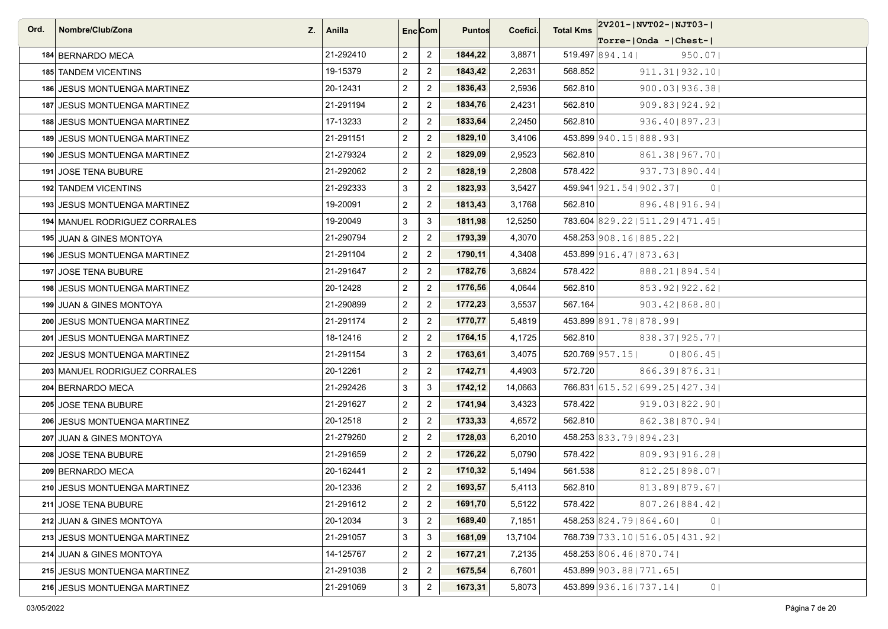| Ord. | Nombre/Club/Zona<br>Z.              | Anilla    |                | Enc <sub>i</sub> Com | <b>Puntos</b> | Coefici. | <b>Total Kms</b> | 2V201- NVT02- NJT03-                        |
|------|-------------------------------------|-----------|----------------|----------------------|---------------|----------|------------------|---------------------------------------------|
|      |                                     |           |                |                      |               |          |                  | Torre- Onda - Chest-                        |
|      | 184 BERNARDO MECA                   | 21-292410 | $\overline{2}$ | $\overline{2}$       | 1844,22       | 3,8871   |                  | $519.497$ 894.14<br>950.07                  |
|      | <b>185 TANDEM VICENTINS</b>         | 19-15379  | $\overline{2}$ | $\overline{2}$       | 1843,42       | 2,2631   | 568.852          | 911.31   932.10                             |
|      | 186 JESUS MONTUENGA MARTINEZ        | 20-12431  | $\overline{2}$ | $\overline{2}$       | 1836,43       | 2,5936   | 562.810          | $900.03$  936.38                            |
|      | 187 JESUS MONTUENGA MARTINEZ        | 21-291194 | $\overline{2}$ | $\overline{2}$       | 1834,76       | 2,4231   | 562.810          | 909.83   924.92                             |
|      | 188 JESUS MONTUENGA MARTINEZ        | 17-13233  | $\overline{2}$ | $\overline{2}$       | 1833,64       | 2,2450   | 562.810          | 936.40   897.23                             |
|      | <b>189 JESUS MONTUENGA MARTINEZ</b> | 21-291151 | $\mathbf{2}$   | $\overline{2}$       | 1829,10       | 3,4106   |                  | 453.899 940.15   888.93                     |
|      | 190 JESUS MONTUENGA MARTINEZ        | 21-279324 | $\overline{2}$ | $\overline{2}$       | 1829,09       | 2,9523   | 562.810          | 861.38   967.70                             |
|      | 191 JOSE TENA BUBURE                | 21-292062 | $\overline{2}$ | $\overline{2}$       | 1828,19       | 2,2808   | 578.422          | 937.73 890.44                               |
|      | 192 TANDEM VICENTINS                | 21-292333 | 3              | $\overline{2}$       | 1823,93       | 3,5427   |                  | 459.941 921.54   902.37  <br>0 <sup>1</sup> |
|      | 193 JESUS MONTUENGA MARTINEZ        | 19-20091  | $\overline{2}$ | $\overline{2}$       | 1813,43       | 3,1768   | 562.810          | 896.48   916.94                             |
|      | 194 MANUEL RODRIGUEZ CORRALES       | 19-20049  | 3              | $\mathbf{3}$         | 1811,98       | 12,5250  |                  | 783.604 829.22   511.29   471.45            |
|      | 195 JUAN & GINES MONTOYA            | 21-290794 | $\overline{2}$ | $\overline{2}$       | 1793,39       | 4,3070   |                  | 458.253 908.16   885.22                     |
|      | <b>196 JESUS MONTUENGA MARTINEZ</b> | 21-291104 | $\overline{2}$ | $\overline{2}$       | 1790,11       | 4,3408   |                  | 453.899 916.47   873.63                     |
|      | 197 JOSE TENA BUBURE                | 21-291647 | $\mathbf{2}$   | $\overline{2}$       | 1782,76       | 3,6824   | 578.422          | 888.21 894.54                               |
|      | 198 JESUS MONTUENGA MARTINEZ        | 20-12428  | $\overline{2}$ | $\overline{2}$       | 1776,56       | 4,0644   | 562.810          | 853.92   922.62                             |
|      | 199 JUAN & GINES MONTOYA            | 21-290899 | $\overline{2}$ | $\overline{2}$       | 1772,23       | 3,5537   | 567.164          | $903.42$   868.80                           |
|      | 200 JESUS MONTUENGA MARTINEZ        | 21-291174 | $\mathbf{2}$   | $\overline{2}$       | 1770,77       | 5,4819   |                  | 453.899 891.78 878.99                       |
|      | 201 JESUS MONTUENGA MARTINEZ        | 18-12416  | $\overline{2}$ | $\overline{2}$       | 1764,15       | 4,1725   | 562.810          | 838.37   925.77                             |
|      | 202 JESUS MONTUENGA MARTINEZ        | 21-291154 | 3              | $\overline{2}$       | 1763,61       | 3,4075   |                  | 520.769 957.15<br>0 806.45                  |
|      | 203 MANUEL RODRIGUEZ CORRALES       | 20-12261  | $\overline{2}$ | $\overline{2}$       | 1742,71       | 4,4903   | 572.720          | 866.39   876.31                             |
|      | 204 BERNARDO MECA                   | 21-292426 | 3              | $\mathbf{3}$         | 1742,12       | 14,0663  |                  | 766.831 615.52   699.25   427.34            |
|      | 205 JOSE TENA BUBURE                | 21-291627 | $\mathbf{2}$   | $\overline{2}$       | 1741,94       | 3,4323   | 578.422          | 919.03 822.90                               |
|      | 206 JESUS MONTUENGA MARTINEZ        | 20-12518  | $\overline{2}$ | $\overline{2}$       | 1733,33       | 4,6572   | 562.810          | 862.38   870.94                             |
|      | 207 JUAN & GINES MONTOYA            | 21-279260 | $\overline{2}$ | $\overline{2}$       | 1728,03       | 6,2010   |                  | 458.253 833.79 894.23                       |
|      | 208 JOSE TENA BUBURE                | 21-291659 | $\overline{2}$ | $\overline{2}$       | 1726,22       | 5,0790   | 578.422          | 809.93 916.28                               |
|      | 209 BERNARDO MECA                   | 20-162441 | $\overline{2}$ | $\overline{2}$       | 1710,32       | 5,1494   | 561.538          | 812.25   898.07                             |
|      | 210 JESUS MONTUENGA MARTINEZ        | 20-12336  | $\mathbf{2}$   | $\overline{2}$       | 1693,57       | 5,4113   | 562.810          | 813.89 879.67                               |
|      | 211 JOSE TENA BUBURE                | 21-291612 | $\overline{2}$ | $\overline{2}$       | 1691,70       | 5,5122   | 578.422          | 807.26   884.42                             |
|      | 212 JUAN & GINES MONTOYA            | 20-12034  | 3              | $\overline{c}$       | 1689,40       | 7,1851   |                  | 458.253 824.79   864.60  <br>0 <sub>1</sub> |
|      | 213 JESUS MONTUENGA MARTINEZ        | 21-291057 | 3              | $\mathbf{3}$         | 1681,09       | 13,7104  |                  | 768.739 733.10   516.05   431.92            |
|      | 214 JUAN & GINES MONTOYA            | 14-125767 | $\overline{2}$ | $\overline{2}$       | 1677,21       | 7,2135   |                  | 458.253 806.46   870.74                     |
|      | 215 JESUS MONTUENGA MARTINEZ        | 21-291038 | $\overline{2}$ | $\overline{c}$       | 1675,54       | 6,7601   |                  | 453.899 903.88   771.65                     |
|      | 216 JESUS MONTUENGA MARTINEZ        | 21-291069 | $\mathbf{3}$   | $\overline{2}$       | 1673,31       | 5,8073   |                  | 453.899 936.16   737.14  <br>0              |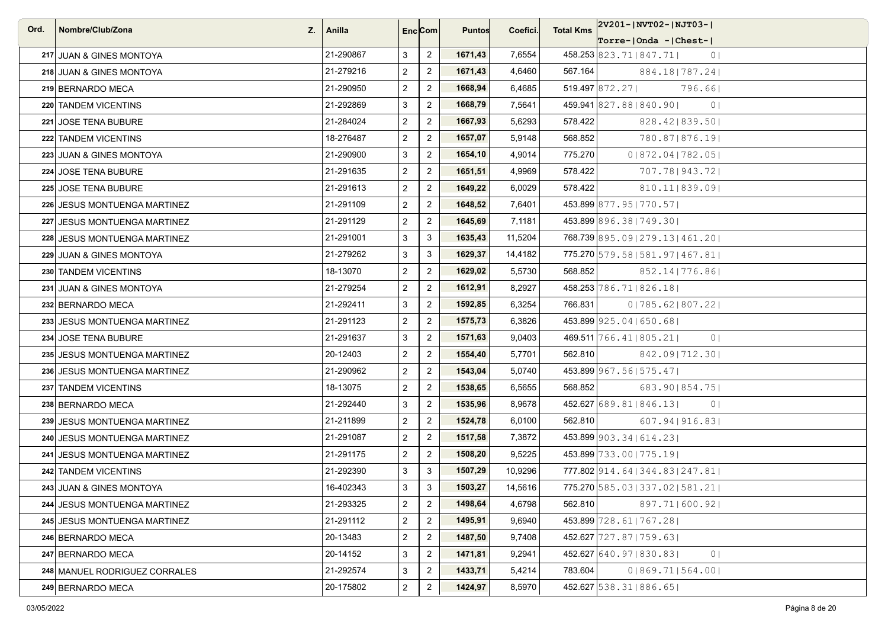| Ord. | Nombre/Club/Zona<br>Z.        | Anilla    |                | Enc Com        | <b>Puntos</b> | Coefici. | <b>Total Kms</b> | 2V201-JNVT02-JNJT03-J                       |
|------|-------------------------------|-----------|----------------|----------------|---------------|----------|------------------|---------------------------------------------|
|      |                               |           |                |                |               |          |                  | $Torre-IOnda -  Check-I$                    |
|      | 217 JUAN & GINES MONTOYA      | 21-290867 | 3              | $\overline{2}$ | 1671,43       | 7,6554   |                  | 458.253 823.71   847.71  <br>0 <sub>1</sub> |
|      | 218 JUAN & GINES MONTOYA      | 21-279216 | $\overline{2}$ | $\overline{2}$ | 1671,43       | 4,6460   | 567.164          | 884.18   787.24                             |
|      | 219 BERNARDO MECA             | 21-290950 | $\overline{2}$ | $\overline{2}$ | 1668,94       | 6,4685   |                  | $519.497$ 872.27<br>796.661                 |
|      | 220 TANDEM VICENTINS          | 21-292869 | 3              | $\overline{2}$ | 1668,79       | 7,5641   |                  | 459.941 827.88 840.90<br>0 <sup>1</sup>     |
|      | 221 JOSE TENA BUBURE          | 21-284024 | $\overline{2}$ | $\overline{2}$ | 1667,93       | 5,6293   | 578.422          | 828.42   839.50                             |
|      | 222 TANDEM VICENTINS          | 18-276487 | $\mathbf{2}$   | $\overline{2}$ | 1657,07       | 5,9148   | 568.852          | 780.871876.191                              |
|      | 223 JUAN & GINES MONTOYA      | 21-290900 | 3              | $\overline{2}$ | 1654,10       | 4,9014   | 775.270          | 01872.041782.051                            |
|      | 224 JOSE TENA BUBURE          | 21-291635 | $\overline{2}$ | $\overline{2}$ | 1651,51       | 4,9969   | 578.422          | 707.781943.721                              |
|      | 225 JOSE TENA BUBURE          | 21-291613 | $\overline{2}$ | $\overline{2}$ | 1649,22       | 6,0029   | 578.422          | 810.11 839.09                               |
|      | 226 JESUS MONTUENGA MARTINEZ  | 21-291109 | $\overline{2}$ | $\overline{2}$ | 1648,52       | 7,6401   |                  | 453.899 877.95   770.57                     |
|      | 227 JESUS MONTUENGA MARTINEZ  | 21-291129 | $\mathbf{2}$   | $\overline{2}$ | 1645,69       | 7,1181   |                  | 453.899 896.38   749.30                     |
|      | 228 JESUS MONTUENGA MARTINEZ  | 21-291001 | 3              | 3              | 1635,43       | 11,5204  |                  | 768.739 895.09   279.13   461.20            |
|      | 229 JUAN & GINES MONTOYA      | 21-279262 | 3              | 3              | 1629,37       | 14,4182  |                  | 775.270 579.58   581.97   467.81            |
|      | 230 TANDEM VICENTINS          | 18-13070  | $\mathbf{2}$   | $\overline{2}$ | 1629,02       | 5,5730   | 568.852          | 852.14 776.86                               |
|      | 231 JUAN & GINES MONTOYA      | 21-279254 | $\overline{2}$ | $\overline{2}$ | 1612,91       | 8,2927   |                  | 458.253 786.71   826.18                     |
|      | 232 BERNARDO MECA             | 21-292411 | 3              | $\overline{2}$ | 1592,85       | 6,3254   | 766.831          | 01785.621807.221                            |
|      | 233 JESUS MONTUENGA MARTINEZ  | 21-291123 | $\overline{2}$ | $\overline{2}$ | 1575,73       | 6,3826   |                  | 453.899 925.04   650.68                     |
|      | 234 JOSE TENA BUBURE          | 21-291637 | 3              | $\overline{2}$ | 1571,63       | 9,0403   |                  | 469.511 766.41   805.21  <br>0 <sup>1</sup> |
|      | 235 JESUS MONTUENGA MARTINEZ  | 20-12403  | $\mathbf{2}$   | $\overline{c}$ | 1554,40       | 5,7701   | 562.810          | 842.09 712.30                               |
|      | 236 JESUS MONTUENGA MARTINEZ  | 21-290962 | $\overline{2}$ | $\overline{2}$ | 1543,04       | 5,0740   |                  | 453.899 967.56   575.47                     |
|      | 237 TANDEM VICENTINS          | 18-13075  | $\overline{2}$ | $\overline{2}$ | 1538,65       | 6,5655   | 568.852          | 683.90   854.75                             |
|      | 238 BERNARDO MECA             | 21-292440 | 3              | $\overline{2}$ | 1535,96       | 8,9678   |                  | 452.627 689.81   846.13  <br>0 <sub>1</sub> |
|      | 239 JESUS MONTUENGA MARTINEZ  | 21-211899 | $\overline{2}$ | $\overline{2}$ | 1524,78       | 6,0100   | 562.810          | 607.94   916.83                             |
|      | 240 JESUS MONTUENGA MARTINEZ  | 21-291087 | $\overline{2}$ | $\overline{2}$ | 1517,58       | 7,3872   |                  | 453.899 903.34   614.23                     |
|      | 241 JESUS MONTUENGA MARTINEZ  | 21-291175 | $\overline{2}$ | $\overline{2}$ | 1508,20       | 9,5225   |                  | 453.899 733.00   775.19                     |
|      | 242 TANDEM VICENTINS          | 21-292390 | 3              | 3              | 1507,29       | 10,9296  |                  | 777.802 914.64   344.83   247.81            |
|      | 243  JUAN & GINES MONTOYA     | 16-402343 | $\mathbf{3}$   | $\mathbf{3}$   | 1503,27       | 14,5616  |                  | 775.270 585.03   337.02   581.21            |
|      | 244 JESUS MONTUENGA MARTINEZ  | 21-293325 | $\overline{2}$ | $\overline{2}$ | 1498,64       | 4,6798   | 562.810          | 897.71 600.92                               |
|      | 245 JESUS MONTUENGA MARTINEZ  | 21-291112 | $\overline{2}$ | $\overline{c}$ | 1495,91       | 9,6940   |                  | 453.899 728, 61   767, 28                   |
|      | 246 BERNARDO MECA             | 20-13483  | $\overline{2}$ | $\overline{2}$ | 1487,50       | 9,7408   |                  | 452.627 727.87   759.63                     |
|      | 247 BERNARDO MECA             | 20-14152  | 3              | $\overline{2}$ | 1471,81       | 9,2941   |                  | 0 <sub>1</sub><br>452.627 640.97   830.83   |
|      | 248 MANUEL RODRIGUEZ CORRALES | 21-292574 | 3              | $\overline{2}$ | 1433,71       | 5,4214   | 783.604          | 0 869.71 564.00                             |
|      | 249 BERNARDO MECA             | 20-175802 | $\mathbf{2}$   | $\overline{2}$ | 1424,97       | 8,5970   |                  | 452.627 538.31   886.65                     |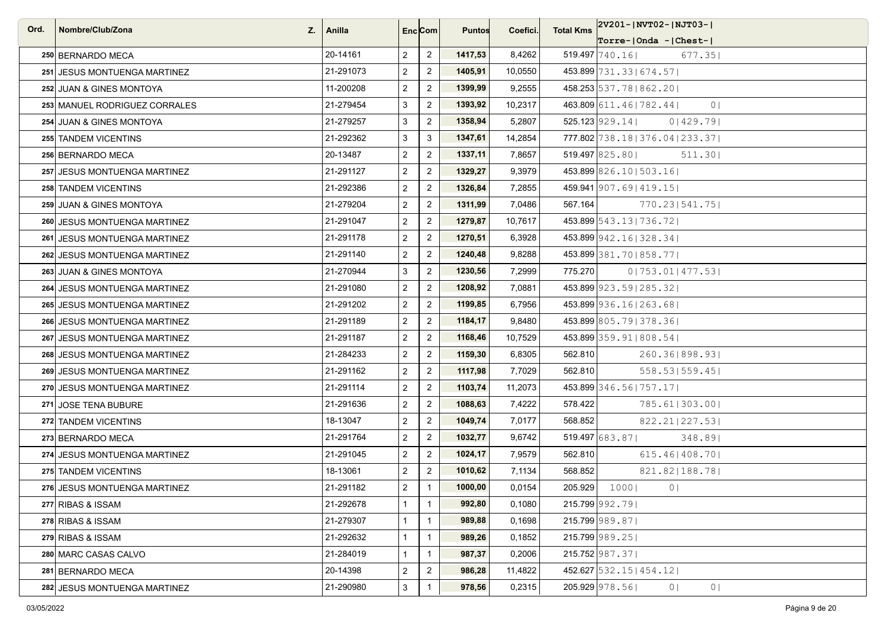| Ord. | Nombre/Club/Zona<br>Z.        | Anilla    |                | Enc <sub>i</sub> Com | <b>Puntos</b> | Coefici. | <b>Total Kms</b> | 2V201-JNVT02-JNJT03-J                       |
|------|-------------------------------|-----------|----------------|----------------------|---------------|----------|------------------|---------------------------------------------|
|      |                               |           |                |                      |               |          |                  | $ Torre- Onda -  Chest- $                   |
|      | 250 BERNARDO MECA             | 20-14161  | $\overline{2}$ | $\overline{2}$       | 1417,53       | 8,4262   |                  | $519.497$ 740.16<br>677.35                  |
|      | 251 JESUS MONTUENGA MARTINEZ  | 21-291073 | $\overline{2}$ | $\overline{2}$       | 1405,91       | 10,0550  |                  | 453.899 731.33   674.57                     |
|      | 252 JUAN & GINES MONTOYA      | 11-200208 | $\overline{2}$ | $\overline{2}$       | 1399,99       | 9,2555   |                  | 458.253 537.78   862.20                     |
|      | 253 MANUEL RODRIGUEZ CORRALES | 21-279454 | 3              | $\overline{2}$       | 1393,92       | 10,2317  |                  | 463.809 611.46   782.44  <br>0 <sup>1</sup> |
|      | 254 JUAN & GINES MONTOYA      | 21-279257 | 3              | $\overline{2}$       | 1358,94       | 5,2807   |                  | 525.123 929.14 <br>01429.79                 |
|      | 255 TANDEM VICENTINS          | 21-292362 | 3              | 3                    | 1347,61       | 14,2854  |                  | 777.802 738.18   376.04   233.37            |
|      | 256 BERNARDO MECA             | 20-13487  | $\overline{2}$ | $\overline{2}$       | 1337,11       | 7,8657   |                  | $519.497$ 825.80<br>511.30                  |
|      | 257 JESUS MONTUENGA MARTINEZ  | 21-291127 | $\overline{a}$ | $\overline{2}$       | 1329,27       | 9,3979   |                  | 453.899 826.10   503.16                     |
|      | 258 TANDEM VICENTINS          | 21-292386 | $\overline{a}$ | $\overline{2}$       | 1326,84       | 7,2855   |                  | 459.941 907.69   419.15                     |
|      | 259 JUAN & GINES MONTOYA      | 21-279204 | $\overline{a}$ | $\overline{2}$       | 1311,99       | 7,0486   | 567.164          | 770.23 541.75                               |
|      | 260 JESUS MONTUENGA MARTINEZ  | 21-291047 | $\overline{2}$ | $\overline{2}$       | 1279,87       | 10,7617  |                  | 453.899 543.13   736.72                     |
|      | 261 JESUS MONTUENGA MARTINEZ  | 21-291178 | $\overline{a}$ | $\overline{2}$       | 1270,51       | 6,3928   |                  | 453.899 942.16   328.34                     |
|      | 262 JESUS MONTUENGA MARTINEZ  | 21-291140 | $\overline{a}$ | $\overline{2}$       | 1240,48       | 9,8288   |                  | 453.899 381.70   858.77                     |
|      | 263 JUAN & GINES MONTOYA      | 21-270944 | 3              | $\overline{2}$       | 1230,56       | 7,2999   | 775.270          | 0 753.01 477.53                             |
|      | 264 JESUS MONTUENGA MARTINEZ  | 21-291080 | $\overline{2}$ | $\overline{2}$       | 1208,92       | 7,0881   |                  | 453.899 923.59   285.32                     |
|      | 265 JESUS MONTUENGA MARTINEZ  | 21-291202 | $\overline{2}$ | $\overline{2}$       | 1199,85       | 6,7956   |                  | 453.899 936.16   263.68                     |
|      | 266 JESUS MONTUENGA MARTINEZ  | 21-291189 | $\overline{2}$ | $\overline{2}$       | 1184,17       | 9,8480   |                  | 453.899 805.79 378.36                       |
|      | 267 JESUS MONTUENGA MARTINEZ  | 21-291187 | $\overline{a}$ | $\overline{2}$       | 1168,46       | 10,7529  |                  | 453.899 359.91   808.54                     |
|      | 268 JESUS MONTUENGA MARTINEZ  | 21-284233 | $\overline{a}$ | $\overline{2}$       | 1159,30       | 6,8305   | 562.810          | 260.36   898.93                             |
|      | 269 JESUS MONTUENGA MARTINEZ  | 21-291162 | $\overline{a}$ | $\overline{2}$       | 1117,98       | 7,7029   | 562.810          | 558.53   559.45                             |
|      | 270 JESUS MONTUENGA MARTINEZ  | 21-291114 | $\overline{a}$ | $\overline{2}$       | 1103,74       | 11,2073  |                  | 453.899 346.56   757.17                     |
|      | 271 JOSE TENA BUBURE          | 21-291636 | $\overline{a}$ | $\overline{2}$       | 1088,63       | 7,4222   | 578.422          | 785.61 303.00                               |
|      | 272 TANDEM VICENTINS          | 18-13047  | $\overline{2}$ | $\overline{2}$       | 1049,74       | 7,0177   | 568.852          | 822.21 227.53                               |
|      | 273 BERNARDO MECA             | 21-291764 | $\overline{a}$ | $\overline{2}$       | 1032,77       | 9,6742   |                  | 519.497 683.87  <br>348.891                 |
|      | 274 JESUS MONTUENGA MARTINEZ  | 21-291045 | $\overline{a}$ | $\overline{2}$       | 1024,17       | 7,9579   | 562.810          | $615.46$   408.70                           |
|      | 275 TANDEM VICENTINS          | 18-13061  | $\overline{2}$ | $\overline{2}$       | 1010,62       | 7,1134   | 568.852          | 821.82 188.78                               |
|      | 276 JESUS MONTUENGA MARTINEZ  | 21-291182 | $\overline{2}$ | $\overline{1}$       | 1000,00       | 0,0154   |                  | 205.929 1000<br>0 <sub>1</sub>              |
|      | 277 RIBAS & ISSAM             | 21-292678 | $\mathbf{1}$   | $\overline{1}$       | 992,80        | 0,1080   |                  | 215.799 992.79                              |
|      | 278 RIBAS & ISSAM             | 21-279307 | $\mathbf 1$    | $\mathbf{1}$         | 989,88        | 0,1698   |                  | 215.799 989.87                              |
|      | 279 RIBAS & ISSAM             | 21-292632 | $\mathbf{1}$   | $\mathbf{1}$         | 989,26        | 0,1852   |                  | 215.799 989.25                              |
|      | 280 MARC CASAS CALVO          | 21-284019 | $\mathbf{1}$   | $\overline{1}$       | 987,37        | 0,2006   |                  | 215.752 987.37                              |
|      | 281 BERNARDO MECA             | 20-14398  | $\overline{2}$ | $\overline{2}$       | 986,28        | 11,4822  |                  | 452.627 532.15   454.12                     |
|      | 282 JESUS MONTUENGA MARTINEZ  | 21-290980 | $\mathbf{3}$   | $\mathbf{1}$         | 978,56        | 0,2315   |                  | 205.929 978.56<br>0  <br>0 <sub>1</sub>     |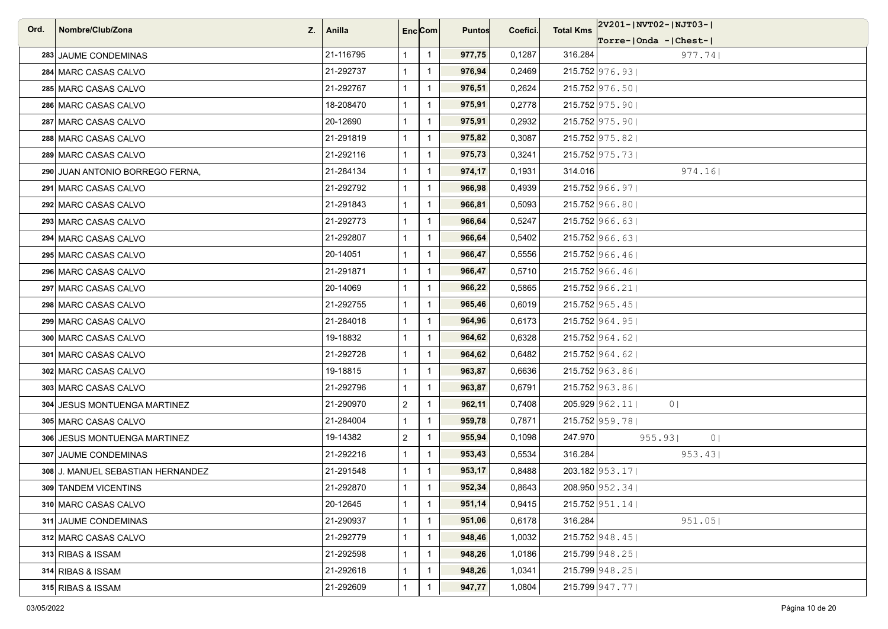| Ord. | Nombre/Club/Zona                  | $Z. \mid$ Anilla |                | Enc <sub>i</sub> Com | <b>Puntos</b> | Coefici. | <b>Total Kms</b> | 2V201- NVT02- NJT03-             |
|------|-----------------------------------|------------------|----------------|----------------------|---------------|----------|------------------|----------------------------------|
|      |                                   |                  |                |                      |               |          |                  | $ Torre- Onda -  Chest- $        |
|      | 283 JAUME CONDEMINAS              | 21-116795        | $\mathbf{1}$   | $\overline{1}$       | 977,75        | 0,1287   | 316.284          | 977.74                           |
|      | 284 MARC CASAS CALVO              | 21-292737        | $\mathbf{1}$   | $\mathbf{1}$         | 976,94        | 0,2469   |                  | 215.752 976.93                   |
|      | 285 MARC CASAS CALVO              | 21-292767        | $\mathbf{1}$   | $\overline{1}$       | 976,51        | 0,2624   |                  | $215.752$ 976.50                 |
|      | 286 MARC CASAS CALVO              | 18-208470        | $\mathbf{1}$   | $\overline{1}$       | 975,91        | 0,2778   |                  | 215.752 975.90                   |
|      | 287 MARC CASAS CALVO              | 20-12690         | $\mathbf{1}$   | $\overline{1}$       | 975,91        | 0,2932   |                  | 215.752 975.90                   |
|      | 288 MARC CASAS CALVO              | 21-291819        | $\mathbf{1}$   | $\mathbf{1}$         | 975,82        | 0,3087   |                  | 215.752 975.82                   |
|      | 289 MARC CASAS CALVO              | 21-292116        | $\mathbf{1}$   | $\overline{1}$       | 975,73        | 0,3241   |                  | 215.752 975.73                   |
|      | 290 JUAN ANTONIO BORREGO FERNA.   | 21-284134        | $\mathbf{1}$   | $\overline{1}$       | 974,17        | 0,1931   | 314.016          | 974.16                           |
|      | 291 MARC CASAS CALVO              | 21-292792        | $\mathbf{1}$   | $\overline{1}$       | 966,98        | 0,4939   |                  | 215.752 966.97                   |
|      | 292 MARC CASAS CALVO              | 21-291843        | $\mathbf{1}$   | $\mathbf{1}$         | 966,81        | 0,5093   |                  | 215.752 966.80                   |
|      | 293 MARC CASAS CALVO              | 21-292773        | $\mathbf{1}$   | $\overline{1}$       | 966,64        | 0,5247   |                  | $215.752$ 966.63                 |
|      | 294 MARC CASAS CALVO              | 21-292807        | $\mathbf{1}$   | $\overline{1}$       | 966,64        | 0,5402   |                  | $215.752$ 966.63                 |
|      | 295 MARC CASAS CALVO              | 20-14051         | $\mathbf 1$    | $\overline{1}$       | 966,47        | 0,5556   |                  | 215.752 966.46                   |
|      | 296 MARC CASAS CALVO              | 21-291871        | $\mathbf{1}$   | $\overline{1}$       | 966,47        | 0,5710   |                  | 215.752 966.46                   |
|      | 297 MARC CASAS CALVO              | 20-14069         | $\mathbf{1}$   | $\overline{1}$       | 966,22        | 0,5865   |                  | 215.752 966.21                   |
|      | 298 MARC CASAS CALVO              | 21-292755        | 1              | $\mathbf{1}$         | 965,46        | 0,6019   |                  | 215.752 965.45                   |
|      | 299 MARC CASAS CALVO              | 21-284018        | $\mathbf{1}$   | $\overline{1}$       | 964,96        | 0,6173   |                  | 215.752 964.95                   |
|      | 300 MARC CASAS CALVO              | 19-18832         | $\mathbf{1}$   | $\mathbf{1}$         | 964,62        | 0,6328   |                  | 215.752 964.62                   |
|      | 301 MARC CASAS CALVO              | 21-292728        | $\mathbf{1}$   | $\mathbf{1}$         | 964,62        | 0,6482   |                  | $215.752$ 964.62                 |
|      | 302 MARC CASAS CALVO              | 19-18815         | $\mathbf{1}$   | $\overline{1}$       | 963,87        | 0,6636   |                  | 215.752 963.86                   |
|      | 303 MARC CASAS CALVO              | 21-292796        | $\mathbf{1}$   | $\overline{1}$       | 963,87        | 0,6791   |                  | 215.752 963.86                   |
|      | 304 JESUS MONTUENGA MARTINEZ      | 21-290970        | $\overline{a}$ | $\mathbf{1}$         | 962,11        | 0,7408   |                  | 205.929 962.11<br>0 <sup>1</sup> |
|      | 305 MARC CASAS CALVO              | 21-284004        | $\mathbf{1}$   | $\overline{1}$       | 959,78        | 0,7871   |                  | 215.752 959.78                   |
|      | 306 JESUS MONTUENGA MARTINEZ      | 19-14382         | $\overline{2}$ | $\overline{1}$       | 955,94        | 0,1098   | 247.970          | 955.93<br>0 <sup>1</sup>         |
|      | 307 JAUME CONDEMINAS              | 21-292216        | $\mathbf{1}$   | $\overline{1}$       | 953,43        | 0,5534   | 316.284          | 953.43                           |
|      | 308 J. MANUEL SEBASTIAN HERNANDEZ | 21-291548        | 1              | $\mathbf{1}$         | 953,17        | 0,8488   |                  | 203.182 953.17                   |
|      | 309 TANDEM VICENTINS              | 21-292870        | $\mathbf{1}$   | $\overline{1}$       | 952,34        | 0,8643   |                  | 208.950 952.34                   |
|      | 310 MARC CASAS CALVO              | 20-12645         | $\mathbf{1}$   | $\overline{1}$       | 951,14        | 0,9415   |                  | $215.752$ 951.14                 |
|      | 311 JAUME CONDEMINAS              | 21-290937        | $\mathbf{1}$   | $\mathbf{1}$         | 951,06        | 0,6178   | 316.284          | 951.05                           |
|      | 312 MARC CASAS CALVO              | 21-292779        | $\mathbf{1}$   | $\mathbf{1}$         | 948,46        | 1,0032   |                  | $215.752$ 948.45                 |
|      | 313 RIBAS & ISSAM                 | 21-292598        | $\mathbf{1}$   | $\overline{1}$       | 948,26        | 1,0186   |                  | 215.799 948.25                   |
|      | 314 RIBAS & ISSAM                 | 21-292618        | 1              | $\mathbf{1}$         | 948,26        | 1,0341   |                  | 215.799 948.25                   |
|      | 315 RIBAS & ISSAM                 | 21-292609        | $\mathbf{1}$   | $\mathbf{1}$         | 947,77        | 1,0804   |                  | 215.799 947.77                   |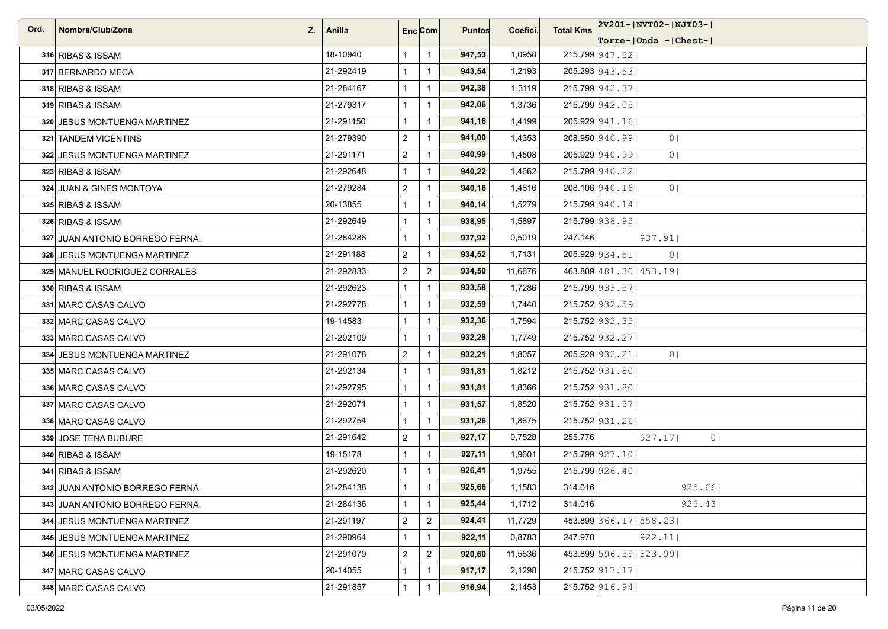| Ord. | Nombre/Club/Zona<br>Z.          | Anilla    | Enc Com        |                | <b>Puntos</b> | Coefici. | <b>Total Kms</b> | 2V201- NVT02- NJT03-             |
|------|---------------------------------|-----------|----------------|----------------|---------------|----------|------------------|----------------------------------|
|      |                                 |           |                |                |               |          |                  | $Torre-IOnda -  Check-I$         |
|      | 316 RIBAS & ISSAM               | 18-10940  | $\mathbf{1}$   | $\overline{1}$ | 947,53        | 1,0958   |                  | 215.799 947.52                   |
|      | 317 BERNARDO MECA               | 21-292419 | $\mathbf{1}$   | $\overline{1}$ | 943,54        | 1,2193   |                  | $205.293 \mid 943.53 \mid$       |
|      | 318 RIBAS & ISSAM               | 21-284167 | $\mathbf{1}$   | $\mathbf{1}$   | 942,38        | 1,3119   |                  | 215.799 942.37                   |
|      | 319 RIBAS & ISSAM               | 21-279317 | $\mathbf{1}$   | $\mathbf{1}$   | 942,06        | 1,3736   |                  | $215.799$ 942.05                 |
|      | 320 JESUS MONTUENGA MARTINEZ    | 21-291150 | $\mathbf{1}$   | $\mathbf{1}$   | 941,16        | 1,4199   |                  | 205.929 941.16                   |
|      | 321 TANDEM VICENTINS            | 21-279390 | $\overline{2}$ | $\mathbf{1}$   | 941,00        | 1,4353   |                  | 208.950 940.99<br>0 <sup>1</sup> |
|      | 322 JESUS MONTUENGA MARTINEZ    | 21-291171 | $\overline{2}$ | $\mathbf{1}$   | 940,99        | 1,4508   |                  | 205.929 940.99<br>0 <sub>1</sub> |
|      | 323 RIBAS & ISSAM               | 21-292648 | $\mathbf{1}$   | $\mathbf{1}$   | 940,22        | 1,4662   |                  | 215.799 940.22                   |
|      | 324 JUAN & GINES MONTOYA        | 21-279284 | $\overline{2}$ | $\mathbf{1}$   | 940,16        | 1,4816   |                  | 208.106 940.16<br>0 <sub>1</sub> |
|      | 325 RIBAS & ISSAM               | 20-13855  | $\mathbf{1}$   | $\overline{1}$ | 940,14        | 1,5279   |                  | $215.799$ 940.14                 |
|      | 326 RIBAS & ISSAM               | 21-292649 | $\mathbf{1}$   | $\mathbf{1}$   | 938,95        | 1,5897   |                  | 215.799 938.95                   |
|      | 327 JUAN ANTONIO BORREGO FERNA, | 21-284286 | $\mathbf{1}$   | $\mathbf{1}$   | 937,92        | 0,5019   | 247.146          | 937.91                           |
|      | 328 JESUS MONTUENGA MARTINEZ    | 21-291188 | $\overline{2}$ | $\overline{1}$ | 934,52        | 1,7131   |                  | 205.929 934.51<br>0 <sub>1</sub> |
|      | 329 MANUEL RODRIGUEZ CORRALES   | 21-292833 | $\mathbf{2}$   | $\overline{2}$ | 934,50        | 11,6676  |                  | 463.809 481.30   453.19          |
|      | 330 RIBAS & ISSAM               | 21-292623 | $\mathbf{1}$   | $\mathbf{1}$   | 933,58        | 1,7286   |                  | 215.799 933.57                   |
|      | 331 MARC CASAS CALVO            | 21-292778 | $\mathbf{1}$   | $\mathbf{1}$   | 932,59        | 1,7440   |                  | $215.752$ 932.59                 |
|      | 332 MARC CASAS CALVO            | 19-14583  | $\mathbf{1}$   | $\overline{1}$ | 932,36        | 1,7594   |                  | $215.752$ 932.35                 |
|      | 333 MARC CASAS CALVO            | 21-292109 | $\mathbf{1}$   | $\mathbf{1}$   | 932,28        | 1,7749   |                  | $215.752$ 932.27                 |
|      | 334 JESUS MONTUENGA MARTINEZ    | 21-291078 | $\mathbf{2}$   | $\mathbf{1}$   | 932,21        | 1,8057   |                  | 205.929 932.21<br>0 <sub>1</sub> |
|      | 335 MARC CASAS CALVO            | 21-292134 | $\mathbf{1}$   | $\mathbf{1}$   | 931,81        | 1,8212   |                  | $215.752$ 931.80                 |
|      | 336 MARC CASAS CALVO            | 21-292795 | $\mathbf{1}$   | $\overline{1}$ | 931,81        | 1,8366   |                  | $215.752$ 931.80                 |
|      | 337 MARC CASAS CALVO            | 21-292071 | $\mathbf{1}$   | $\mathbf{1}$   | 931,57        | 1,8520   |                  | $215.752$ 931.57                 |
|      | 338 MARC CASAS CALVO            | 21-292754 | $\mathbf{1}$   | $\mathbf{1}$   | 931,26        | 1,8675   |                  | $215.752$ 931.26                 |
|      | 339 JOSE TENA BUBURE            | 21-291642 | $\overline{2}$ | $\mathbf{1}$   | 927,17        | 0,7528   | 255.776          | 927.17<br>0 <sub>1</sub>         |
|      | 340 RIBAS & ISSAM               | 19-15178  | $\mathbf{1}$   | $\mathbf{1}$   | 927,11        | 1,9601   |                  | 215.799 927.10                   |
|      | 341 RIBAS & ISSAM               | 21-292620 | $\mathbf{1}$   | $\mathbf{1}$   | 926,41        | 1,9755   |                  | $215.799$ 926.40                 |
|      | 342 JUAN ANTONIO BORREGO FERNA, | 21-284138 | $\mathbf{1}$   | $\mathbf{1}$   | 925,66        | 1,1583   | 314.016          | 925.66                           |
|      | 343 JUAN ANTONIO BORREGO FERNA, | 21-284136 | $\mathbf{1}$   | $\mathbf{1}$   | 925,44        | 1,1712   | 314.016          | 925.43                           |
|      | 344 JESUS MONTUENGA MARTINEZ    | 21-291197 | $\overline{2}$ | $\overline{c}$ | 924,41        | 11,7729  |                  | 453.899 366.17   558.23          |
|      | 345 JESUS MONTUENGA MARTINEZ    | 21-290964 | $\mathbf{1}$   | $\mathbf{1}$   | 922,11        | 0,8783   | 247.970          | 922.11                           |
|      | 346 JESUS MONTUENGA MARTINEZ    | 21-291079 | $\overline{2}$ | $\overline{2}$ | 920,60        | 11,5636  |                  | 453.899 596.59 323.99            |
|      | 347 MARC CASAS CALVO            | 20-14055  | $\mathbf{1}$   | $\mathbf{1}$   | 917,17        | 2,1298   |                  | $215.752$ 917.17                 |
|      | 348 MARC CASAS CALVO            | 21-291857 | $\mathbf{1}$   | $\mathbf{1}$   | 916,94        | 2,1453   |                  | 215.752 916.94                   |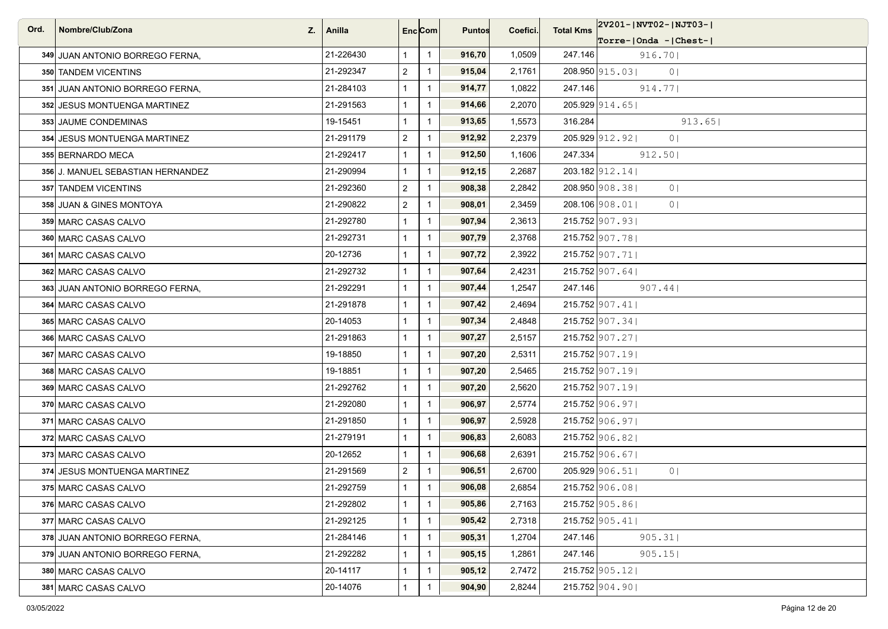| Ord. | Nombre/Club/Zona<br>Z.            | Anilla    | Enc Com        |                | <b>Puntos</b> | Coefici. | <b>Total Kms</b> | 2V201-JNVT02-JNJT03-J            |
|------|-----------------------------------|-----------|----------------|----------------|---------------|----------|------------------|----------------------------------|
|      |                                   |           |                |                |               |          |                  | Torre- Onda - Chest-             |
|      | 349 JUAN ANTONIO BORREGO FERNA,   | 21-226430 | $\mathbf{1}$   | $\overline{1}$ | 916,70        | 1,0509   | 247.146          | 916.70                           |
|      | 350 TANDEM VICENTINS              | 21-292347 | $\overline{2}$ | $\mathbf{1}$   | 915,04        | 2,1761   |                  | 208.950 915.03<br>0 <sup>1</sup> |
|      | 351 JUAN ANTONIO BORREGO FERNA,   | 21-284103 | $\mathbf{1}$   | $\mathbf{1}$   | 914,77        | 1,0822   | 247.146          | 914.77                           |
|      | 352 JESUS MONTUENGA MARTINEZ      | 21-291563 | $\mathbf{1}$   | $\overline{1}$ | 914,66        | 2,2070   |                  | $205.929$ 914.65                 |
|      | 353 JAUME CONDEMINAS              | 19-15451  | $\mathbf{1}$   | $\mathbf{1}$   | 913,65        | 1,5573   | 316.284          | 913.65                           |
|      | 354 JESUS MONTUENGA MARTINEZ      | 21-291179 | $\overline{2}$ | $\mathbf{1}$   | 912,92        | 2,2379   |                  | 205.929 912.92<br>0 <sub>1</sub> |
|      | 355 BERNARDO MECA                 | 21-292417 | $\mathbf{1}$   | $\mathbf{1}$   | 912,50        | 1,1606   | 247.334          | 912.50                           |
|      | 356 J. MANUEL SEBASTIAN HERNANDEZ | 21-290994 | $\mathbf{1}$   | $\overline{1}$ | 912,15        | 2,2687   |                  | $203.182$ 912.14                 |
|      | 357 TANDEM VICENTINS              | 21-292360 | $\overline{2}$ | $\mathbf{1}$   | 908,38        | 2,2842   |                  | 208.950 908.38<br>0 <sup>1</sup> |
|      | 358 JUAN & GINES MONTOYA          | 21-290822 | $\overline{2}$ | $\mathbf{1}$   | 908,01        | 2,3459   |                  | 208.106 908.01<br>0 <sub>1</sub> |
|      | 359 MARC CASAS CALVO              | 21-292780 | $\mathbf{1}$   | $\mathbf{1}$   | 907,94        | 2,3613   |                  | $215.752$ 907.93                 |
|      | 360 MARC CASAS CALVO              | 21-292731 | $\mathbf{1}$   | $\overline{1}$ | 907,79        | 2,3768   |                  | 215.752 907.78                   |
|      | 361 MARC CASAS CALVO              | 20-12736  | $\mathbf{1}$   | $\mathbf{1}$   | 907,72        | 2,3922   |                  | $215.752$ 907.71                 |
|      | 362 MARC CASAS CALVO              | 21-292732 | $\mathbf{1}$   | $\overline{1}$ | 907,64        | 2,4231   |                  | 215.752 907.64                   |
|      | 363 JUAN ANTONIO BORREGO FERNA.   | 21-292291 | $\mathbf{1}$   | $\mathbf{1}$   | 907,44        | 1,2547   | 247.146          | 907.44                           |
|      | 364 MARC CASAS CALVO              | 21-291878 | $\mathbf{1}$   | $\overline{1}$ | 907,42        | 2,4694   |                  | 215.752 907.41                   |
|      | 365 MARC CASAS CALVO              | 20-14053  | $\mathbf{1}$   | $\mathbf{1}$   | 907,34        | 2,4848   |                  | $215.752$ 907.34                 |
|      | 366 MARC CASAS CALVO              | 21-291863 | $\mathbf{1}$   | $\mathbf{1}$   | 907,27        | 2,5157   |                  | 215.752 907.27                   |
|      | 367 MARC CASAS CALVO              | 19-18850  | $\mathbf{1}$   | $\mathbf{1}$   | 907,20        | 2,5311   |                  | $215.752$ 907.19                 |
|      | 368 MARC CASAS CALVO              | 19-18851  | $\mathbf{1}$   | $\overline{1}$ | 907,20        | 2,5465   |                  | $215.752$ 907.19                 |
|      | 369 MARC CASAS CALVO              | 21-292762 | $\mathbf{1}$   | $\mathbf{1}$   | 907,20        | 2,5620   |                  | 215.752 907.19                   |
|      | 370 MARC CASAS CALVO              | 21-292080 | $\mathbf{1}$   | $\overline{1}$ | 906,97        | 2,5774   |                  | 215.752 906.97                   |
|      | 371 MARC CASAS CALVO              | 21-291850 | $\mathbf{1}$   | $\overline{1}$ | 906,97        | 2,5928   |                  | 215.752 906.97                   |
|      | 372 MARC CASAS CALVO              | 21-279191 | $\mathbf{1}$   | $\mathbf{1}$   | 906,83        | 2,6083   |                  | 215.752 906.82                   |
|      | 373 MARC CASAS CALVO              | 20-12652  | $\mathbf{1}$   | $\mathbf{1}$   | 906,68        | 2,6391   |                  | 215.752 906.67                   |
|      | 374 JESUS MONTUENGA MARTINEZ      | 21-291569 | $\overline{2}$ | $\mathbf{1}$   | 906,51        | 2,6700   |                  | 205.929 906.51<br>0 <sub>1</sub> |
|      | 375 MARC CASAS CALVO              | 21-292759 | 1              | $\overline{1}$ | 906,08        | 2,6854   |                  | 215.752 906.08                   |
|      | 376 MARC CASAS CALVO              | 21-292802 | $\mathbf{1}$   | $\mathbf{1}$   | 905,86        | 2,7163   |                  | $215.752$ 905.86                 |
|      | 377 MARC CASAS CALVO              | 21-292125 | $\mathbf{1}$   | $\mathbf{1}$   | 905,42        | 2,7318   |                  | 215.752 905.41                   |
|      | 378 JUAN ANTONIO BORREGO FERNA,   | 21-284146 | $\mathbf{1}$   | $\mathbf{1}$   | 905,31        | 1,2704   | 247.146          | 905.31                           |
|      | 379 JUAN ANTONIO BORREGO FERNA.   | 21-292282 | $\mathbf{1}$   | $\mathbf{1}$   | 905,15        | 1,2861   | 247.146          | 905.15                           |
|      | 380 MARC CASAS CALVO              | 20-14117  | $\mathbf{1}$   | $\mathbf{1}$   | 905,12        | 2,7472   |                  | $215.752$ 905.12                 |
|      | 381 MARC CASAS CALVO              | 20-14076  | $\mathbf{1}$   | $\mathbf{1}$   | 904,90        | 2,8244   |                  | 215.752 904.90                   |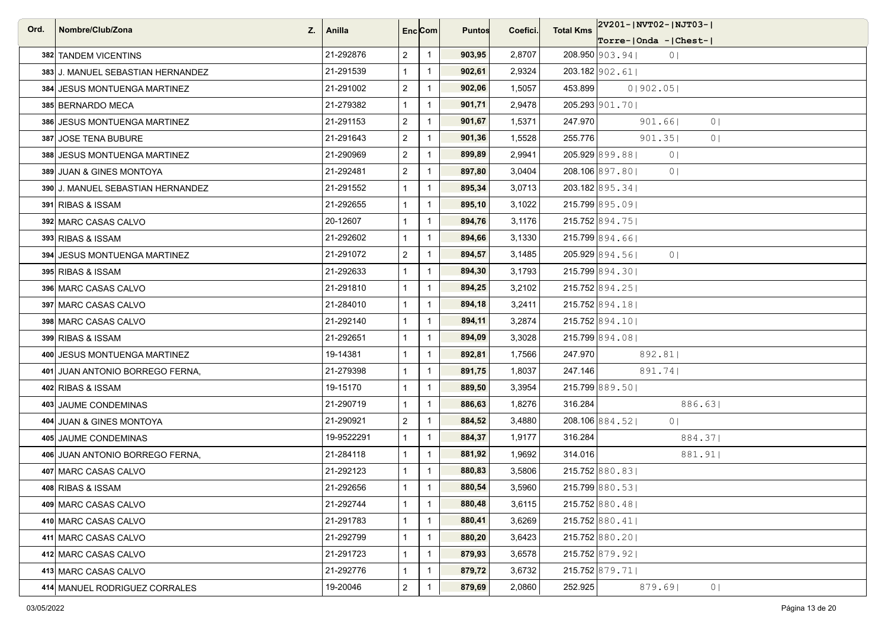| Ord. | Nombre/Club/Zona<br>Z.            | Anilla     |                | Enc <sub>i</sub> Com | <b>Puntos</b> | Coefici. | <b>Total Kms</b> | 2V201- NVT02- NJT03-              |
|------|-----------------------------------|------------|----------------|----------------------|---------------|----------|------------------|-----------------------------------|
|      |                                   |            |                |                      |               |          |                  | Torre- Onda - Chest-              |
|      | 382 TANDEM VICENTINS              | 21-292876  | $\overline{2}$ | $\overline{1}$       | 903,95        | 2,8707   |                  | 208.950 903.94<br>0 <sub>1</sub>  |
|      | 383 J. MANUEL SEBASTIAN HERNANDEZ | 21-291539  | $\mathbf{1}$   | $\mathbf{1}$         | 902,61        | 2,9324   |                  | $203.182$ 902.61                  |
|      | 384 JESUS MONTUENGA MARTINEZ      | 21-291002  | $\overline{a}$ | $\mathbf{1}$         | 902,06        | 1,5057   | 453.899          | 0 902.05                          |
|      | 385 BERNARDO MECA                 | 21-279382  | $\mathbf{1}$   | $\overline{1}$       | 901,71        | 2,9478   |                  | 205.293 901.70                    |
|      | 386 JESUS MONTUENGA MARTINEZ      | 21-291153  | $\overline{a}$ | $\mathbf{1}$         | 901,67        | 1,5371   | 247.970          | 901.66<br>0 <sup>1</sup>          |
|      | 387 JOSE TENA BUBURE              | 21-291643  | $\overline{a}$ | $\mathbf{1}$         | 901,36        | 1,5528   | 255.776          | 901.35<br>0 <sub>1</sub>          |
|      | 388 JESUS MONTUENGA MARTINEZ      | 21-290969  | $\overline{2}$ | $\overline{1}$       | 899,89        | 2,9941   |                  | 205.929 899.88<br>0 <sub>1</sub>  |
|      | 389 JUAN & GINES MONTOYA          | 21-292481  | $\overline{a}$ | $\overline{1}$       | 897,80        | 3,0404   |                  | 208.106 897.80<br>0 <sub>1</sub>  |
|      | 390 J. MANUEL SEBASTIAN HERNANDEZ | 21-291552  | $\mathbf{1}$   | $\mathbf{1}$         | 895,34        | 3,0713   |                  | 203.182 895.34                    |
|      | 391 RIBAS & ISSAM                 | 21-292655  | $\mathbf{1}$   | $\overline{1}$       | 895,10        | 3,1022   |                  | 215.799 895.09                    |
|      | 392 MARC CASAS CALVO              | 20-12607   | $\mathbf{1}$   | $\overline{1}$       | 894,76        | 3,1176   |                  | 215.752 894.75                    |
|      | 393 RIBAS & ISSAM                 | 21-292602  | $\mathbf{1}$   | $\overline{1}$       | 894,66        | 3,1330   |                  | 215.799 894.66                    |
|      | 394 JESUS MONTUENGA MARTINEZ      | 21-291072  | $\overline{2}$ | $\mathbf{1}$         | 894,57        | 3,1485   |                  | 205.929 894.561<br>0 <sub>1</sub> |
|      | 395 RIBAS & ISSAM                 | 21-292633  | $\mathbf{1}$   | $\mathbf{1}$         | 894,30        | 3,1793   |                  | 215.799 894.30                    |
|      | 396 MARC CASAS CALVO              | 21-291810  | $\mathbf{1}$   | $\overline{1}$       | 894,25        | 3,2102   |                  | 215.752 894.25                    |
|      | 397 MARC CASAS CALVO              | 21-284010  | $\mathbf{1}$   | $\overline{1}$       | 894,18        | 3,2411   |                  | 215.752 894.18                    |
|      | 398 MARC CASAS CALVO              | 21-292140  | $\mathbf{1}$   | $\overline{1}$       | 894,11        | 3,2874   |                  | 215.752 894.10                    |
|      | 399 RIBAS & ISSAM                 | 21-292651  | $\mathbf{1}$   | $\overline{1}$       | 894,09        | 3,3028   |                  | 215.799 894.08                    |
|      | 400 JESUS MONTUENGA MARTINEZ      | 19-14381   | $\mathbf{1}$   | $\mathbf{1}$         | 892,81        | 1,7566   | 247.970          | 892.81                            |
|      | 401 JUAN ANTONIO BORREGO FERNA,   | 21-279398  | $\mathbf{1}$   | $\overline{1}$       | 891,75        | 1,8037   | 247.146          | 891.74                            |
|      | 402 RIBAS & ISSAM                 | 19-15170   | $\mathbf{1}$   | $\mathbf{1}$         | 889,50        | 3,3954   |                  | 215.799 889.50                    |
|      | 403 JAUME CONDEMINAS              | 21-290719  | $\mathbf{1}$   | $\mathbf{1}$         | 886,63        | 1,8276   | 316.284          | 886.63                            |
|      | 404 JUAN & GINES MONTOYA          | 21-290921  | $\overline{2}$ | $\overline{1}$       | 884,52        | 3,4880   |                  | 208.106 884.52<br>0 <sup>1</sup>  |
|      | 405 JAUME CONDEMINAS              | 19-9522291 | $\mathbf{1}$   | $\overline{1}$       | 884,37        | 1,9177   | 316.284          | 884.371                           |
|      | 406 JUAN ANTONIO BORREGO FERNA,   | 21-284118  | $\mathbf{1}$   | $\overline{1}$       | 881,92        | 1,9692   | 314.016          | 881.91                            |
|      | 407 MARC CASAS CALVO              | 21-292123  | $\mathbf{1}$   | $\overline{1}$       | 880,83        | 3,5806   |                  | 215.752 880.83                    |
|      | 408 RIBAS & ISSAM                 | 21-292656  | $\mathbf{1}$   | $\overline{1}$       | 880,54        | 3,5960   |                  | 215.799 880.53                    |
|      | 409 MARC CASAS CALVO              | 21-292744  | $\mathbf{1}$   | $\overline{1}$       | 880,48        | 3,6115   |                  | 215.752 880.48                    |
|      | 410 MARC CASAS CALVO              | 21-291783  | $\mathbf{1}$   | $\mathbf{1}$         | 880,41        | 3,6269   |                  | $215.752$ 880.41                  |
|      | 411 MARC CASAS CALVO              | 21-292799  | $\mathbf{1}$   | $\mathbf{1}$         | 880,20        | 3,6423   |                  | 215.752 880.20                    |
|      | 412 MARC CASAS CALVO              | 21-291723  | $\mathbf{1}$   | $\overline{1}$       | 879,93        | 3,6578   |                  | 215.752 879.92                    |
|      | 413 MARC CASAS CALVO              | 21-292776  | $\mathbf{1}$   | $\mathbf{1}$         | 879,72        | 3,6732   |                  | $215.752$ 879.71                  |
|      | 414 MANUEL RODRIGUEZ CORRALES     | 19-20046   | $\overline{a}$ | $\overline{1}$       | 879,69        | 2,0860   | 252.925          | 0  <br>879.69                     |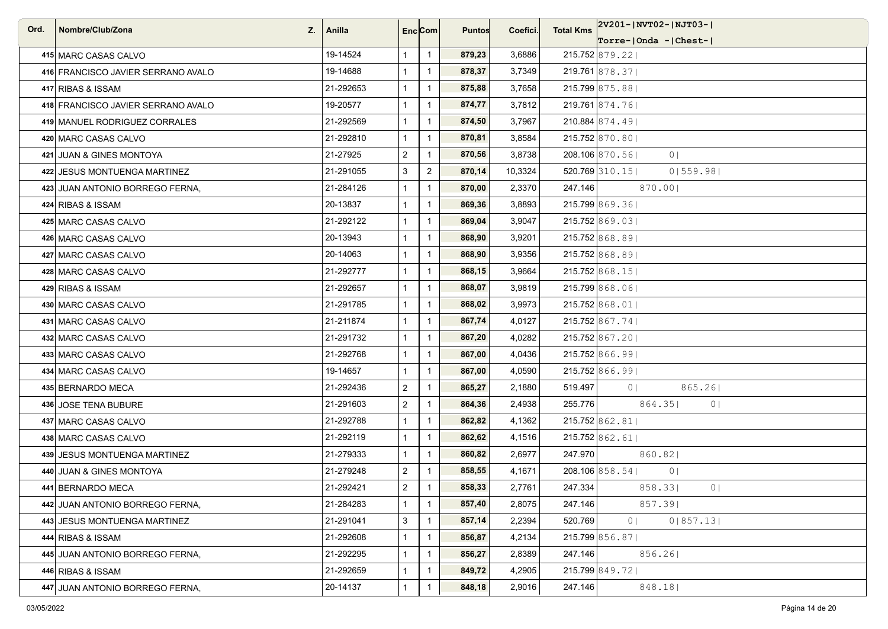| Ord. | Nombre/Club/Zona                   | $Z_i$   Anilla | Enc <sub>i</sub> Com |                | <b>Puntos</b> | Coefici. | <b>Total Kms</b> | 2V201-JNVT02-JNJT03-J             |
|------|------------------------------------|----------------|----------------------|----------------|---------------|----------|------------------|-----------------------------------|
|      |                                    |                |                      |                |               |          |                  | $ Torre- Onda -  Chest- $         |
|      | 415 MARC CASAS CALVO               | 19-14524       | $\mathbf{1}$         | $\overline{1}$ | 879,23        | 3,6886   |                  | 215.752 879.22                    |
|      | 416 FRANCISCO JAVIER SERRANO AVALO | 19-14688       | $\mathbf{1}$         | $\mathbf{1}$   | 878,37        | 3,7349   |                  | 219.761 878.37                    |
|      | 417 RIBAS & ISSAM                  | 21-292653      | $\mathbf{1}$         | $\mathbf{1}$   | 875,88        | 3,7658   |                  | 215.799 875.88                    |
|      | 418 FRANCISCO JAVIER SERRANO AVALO | 19-20577       | $\mathbf{1}$         | $\overline{1}$ | 874,77        | 3,7812   |                  | 219.761 874.76                    |
|      | 419 MANUEL RODRIGUEZ CORRALES      | 21-292569      | $\mathbf{1}$         | $\overline{1}$ | 874,50        | 3,7967   |                  | 210.884 874.491                   |
|      | 420 MARC CASAS CALVO               | 21-292810      | $\mathbf{1}$         | $\mathbf{1}$   | 870,81        | 3,8584   |                  | 215.752 870.80                    |
|      | 421 JUAN & GINES MONTOYA           | 21-27925       | $\overline{2}$       | $\overline{1}$ | 870,56        | 3,8738   |                  | 208.106 870.561<br>0 <sub>1</sub> |
|      | 422 JESUS MONTUENGA MARTINEZ       | 21-291055      | 3                    | $\overline{2}$ | 870,14        | 10,3324  |                  | 520.769 310.15<br>0 559.98        |
|      | 423 JUAN ANTONIO BORREGO FERNA,    | 21-284126      | $\mathbf{1}$         | $\overline{1}$ | 870,00        | 2,3370   | 247.146          | 870.00                            |
|      | 424 RIBAS & ISSAM                  | 20-13837       | $\mathbf{1}$         | $\mathbf{1}$   | 869,36        | 3,8893   |                  | 215.799 869.361                   |
|      | 425 MARC CASAS CALVO               | 21-292122      | $\mathbf{1}$         | $\overline{1}$ | 869,04        | 3,9047   |                  | 215.752 869.03                    |
|      | 426 MARC CASAS CALVO               | 20-13943       | $\mathbf{1}$         | $\overline{1}$ | 868,90        | 3,9201   |                  | 215.752 868.89                    |
|      | 427 MARC CASAS CALVO               | 20-14063       | $\mathbf{1}$         | $\overline{1}$ | 868,90        | 3,9356   |                  | 215.752 868.89                    |
|      | 428 MARC CASAS CALVO               | 21-292777      | $\mathbf{1}$         | $\overline{1}$ | 868,15        | 3,9664   |                  | 215.752 868.15                    |
|      | 429 RIBAS & ISSAM                  | 21-292657      | $\mathbf{1}$         | $\overline{1}$ | 868,07        | 3,9819   |                  | 215.799 868.06                    |
|      | 430 MARC CASAS CALVO               | 21-291785      | $\mathbf{1}$         | $\mathbf{1}$   | 868,02        | 3,9973   |                  | 215.752 868.01                    |
|      | 431 MARC CASAS CALVO               | 21-211874      | $\mathbf{1}$         | $\overline{1}$ | 867,74        | 4,0127   |                  | 215.752 867.74                    |
|      | 432 MARC CASAS CALVO               | 21-291732      | $\mathbf{1}$         | $\mathbf{1}$   | 867,20        | 4,0282   |                  | 215.752 867.201                   |
|      | 433 MARC CASAS CALVO               | 21-292768      | $\mathbf{1}$         | $\mathbf{1}$   | 867,00        | 4,0436   |                  | $215.752$ 866.99                  |
|      | 434 MARC CASAS CALVO               | 19-14657       | $\mathbf{1}$         | $\overline{1}$ | 867,00        | 4,0590   |                  | 215.752 866.99                    |
|      | 435 BERNARDO MECA                  | 21-292436      | $\overline{2}$       | $\overline{1}$ | 865,27        | 2,1880   | 519.497          | 865.26<br>0 <sup>1</sup>          |
|      | 436 JOSE TENA BUBURE               | 21-291603      | $\overline{2}$       | $\mathbf{1}$   | 864,36        | 2,4938   | 255.776          | 864.35<br>0 <sup>1</sup>          |
|      | 437 MARC CASAS CALVO               | 21-292788      | $\mathbf{1}$         | $\overline{1}$ | 862,82        | 4,1362   |                  | 215.752 862.81                    |
|      | 438 MARC CASAS CALVO               | 21-292119      | $\mathbf{1}$         | $\overline{1}$ | 862,62        | 4,1516   |                  | 215.752 862.61                    |
|      | 439 JESUS MONTUENGA MARTINEZ       | 21-279333      | $\mathbf{1}$         | $\overline{1}$ | 860,82        | 2,6977   | 247.970          | 860.82                            |
|      | 440 JUAN & GINES MONTOYA           | 21-279248      | $\overline{2}$       | $\mathbf{1}$   | 858,55        | 4,1671   |                  | 208.106 858.54<br>0 <sub>1</sub>  |
|      | 441 BERNARDO MECA                  | 21-292421      | $\overline{2}$       | $\overline{1}$ | 858,33        | 2,7761   | 247.334          | 858.33<br>0 <sub>1</sub>          |
|      | 442 JUAN ANTONIO BORREGO FERNA,    | 21-284283      | $\mathbf{1}$         | $\overline{1}$ | 857,40        | 2,8075   | 247.146          | 857.391                           |
|      | 443 JESUS MONTUENGA MARTINEZ       | 21-291041      | 3                    | $\mathbf{1}$   | 857,14        | 2,2394   | 520.769          | 0 857.13 <br>0 <sub>1</sub>       |
|      | 444 RIBAS & ISSAM                  | 21-292608      | $\mathbf{1}$         | $\mathbf{1}$   | 856,87        | 4,2134   |                  | 215.799 856.87                    |
|      | 445 JUAN ANTONIO BORREGO FERNA,    | 21-292295      | $\mathbf{1}$         | $\mathbf{1}$   | 856,27        | 2,8389   | 247.146          | 856.26                            |
|      | 446 RIBAS & ISSAM                  | 21-292659      | $\mathbf{1}$         | $\mathbf{1}$   | 849,72        | 4,2905   |                  | 215.799 849.721                   |
|      | 447 JUAN ANTONIO BORREGO FERNA,    | 20-14137       | $\mathbf{1}$         | $\overline{1}$ | 848,18        | 2,9016   | 247.146          | 848.18                            |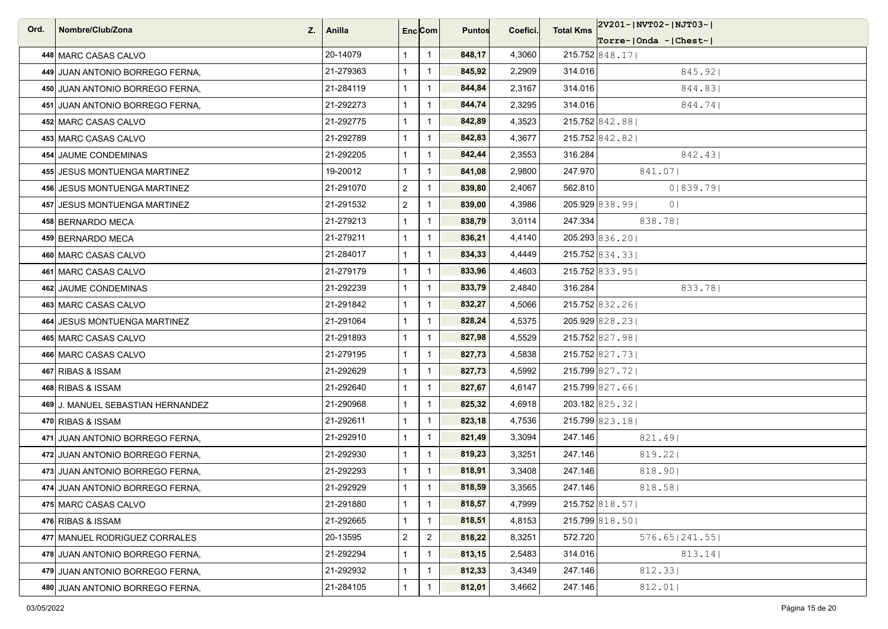| Ord. | Nombre/Club/Zona<br>Z.            | Anilla    | Enc <sub>i</sub> Com |                | <b>Puntos</b> | Coefici. | <b>Total Kms</b> | 2V201- NVT02- NJT03-              |
|------|-----------------------------------|-----------|----------------------|----------------|---------------|----------|------------------|-----------------------------------|
|      |                                   |           |                      |                |               |          |                  | Torre- Onda - Chest-              |
|      | 448 MARC CASAS CALVO              | 20-14079  | $\mathbf{1}$         | $\overline{1}$ | 848,17        | 4,3060   |                  | $215.752$ 848.17                  |
|      | 449 JUAN ANTONIO BORREGO FERNA,   | 21-279363 | $\mathbf{1}$         | $\mathbf{1}$   | 845,92        | 2,2909   | 314.016          | 845.92                            |
|      | 450 JUAN ANTONIO BORREGO FERNA,   | 21-284119 | $\mathbf{1}$         | $\mathbf{1}$   | 844,84        | 2,3167   | 314.016          | 844.831                           |
|      | 451 JUAN ANTONIO BORREGO FERNA,   | 21-292273 | $\mathbf{1}$         | $\overline{1}$ | 844,74        | 2,3295   | 314.016          | 844.74                            |
|      | 452 MARC CASAS CALVO              | 21-292775 | $\mathbf{1}$         | $\mathbf{1}$   | 842,89        | 4,3523   |                  | 215.752 842.88                    |
|      | 453 MARC CASAS CALVO              | 21-292789 | $\mathbf{1}$         | $\mathbf{1}$   | 842,83        | 4,3677   |                  | 215.752 842.82                    |
|      | 454 JAUME CONDEMINAS              | 21-292205 | $\mathbf{1}$         | $\mathbf{1}$   | 842,44        | 2,3553   | 316.284          | 842.43                            |
|      | 455 JESUS MONTUENGA MARTINEZ      | 19-20012  | $\mathbf{1}$         | $\overline{1}$ | 841,08        | 2,9800   | 247.970          | 841.07                            |
|      | 456 JESUS MONTUENGA MARTINEZ      | 21-291070 | $\overline{2}$       | $\overline{1}$ | 839,80        | 2,4067   | 562.810          | 0 839.79                          |
|      | 457 JESUS MONTUENGA MARTINEZ      | 21-291532 | $\overline{2}$       | $\mathbf{1}$   | 839,00        | 4,3986   |                  | 205.929 838.991<br>0 <sub>1</sub> |
|      | 458 BERNARDO MECA                 | 21-279213 | $\mathbf{1}$         | $\mathbf{1}$   | 838,79        | 3,0114   | 247.334          | 838.78                            |
|      | 459 BERNARDO MECA                 | 21-279211 | $\mathbf{1}$         | $\overline{1}$ | 836,21        | 4,4140   |                  | 205.293 836.20                    |
|      | 460 MARC CASAS CALVO              | 21-284017 | $\mathbf{1}$         | $\mathbf{1}$   | 834,33        | 4,4449   |                  | 215.752 834.33                    |
|      | 461 MARC CASAS CALVO              | 21-279179 | $\mathbf{1}$         | $\mathbf{1}$   | 833,96        | 4,4603   |                  | 215.752 833.95                    |
|      | 462 JAUME CONDEMINAS              | 21-292239 | $\mathbf{1}$         | $\mathbf{1}$   | 833,79        | 2,4840   | 316.284          | 833.781                           |
|      | 463 MARC CASAS CALVO              | 21-291842 | $\mathbf{1}$         | $\mathbf{1}$   | 832,27        | 4,5066   |                  | 215.752 832.26                    |
|      | 464 JESUS MONTUENGA MARTINEZ      | 21-291064 | $\mathbf{1}$         | $\overline{1}$ | 828,24        | 4,5375   |                  | 205.929 828.23                    |
|      | 465 MARC CASAS CALVO              | 21-291893 | $\mathbf{1}$         | $\mathbf{1}$   | 827,98        | 4,5529   |                  | 215.752 827.98                    |
|      | 466 MARC CASAS CALVO              | 21-279195 | $\mathbf{1}$         | $\mathbf{1}$   | 827,73        | 4,5838   |                  | 215.752 827.73                    |
|      | 467 RIBAS & ISSAM                 | 21-292629 | $\mathbf{1}$         | $\overline{1}$ | 827,73        | 4,5992   |                  | 215.799 827.72                    |
|      | 468 RIBAS & ISSAM                 | 21-292640 | $\mathbf{1}$         | $\mathbf{1}$   | 827,67        | 4,6147   |                  | 215.799 827.66                    |
|      | 469 J. MANUEL SEBASTIAN HERNANDEZ | 21-290968 | $\mathbf{1}$         | $\mathbf{1}$   | 825,32        | 4,6918   |                  | 203.182 825.32                    |
|      | 470 RIBAS & ISSAM                 | 21-292611 | $\mathbf{1}$         | $\mathbf{1}$   | 823,18        | 4,7536   |                  | 215.799 823.18                    |
|      | 471 JUAN ANTONIO BORREGO FERNA.   | 21-292910 | $\mathbf{1}$         | $\overline{1}$ | 821,49        | 3,3094   | 247.146          | 821.491                           |
|      | 472 JUAN ANTONIO BORREGO FERNA,   | 21-292930 | $\mathbf{1}$         | $\mathbf{1}$   | 819,23        | 3,3251   | 247.146          | 819.22                            |
|      | 473 JUAN ANTONIO BORREGO FERNA,   | 21-292293 | 1                    | $\mathbf{1}$   | 818,91        | 3,3408   | 247.146          | 818.90                            |
|      | 474 JUAN ANTONIO BORREGO FERNA,   | 21-292929 | $\mathbf{1}$         | $\mathbf{1}$   | 818,59        | 3,3565   | 247.146          | 818.58                            |
|      | 475 MARC CASAS CALVO              | 21-291880 | $\mathbf{1}$         | $\mathbf{1}$   | 818,57        | 4,7999   |                  | $215.752$ 818.57                  |
|      | 476 RIBAS & ISSAM                 | 21-292665 | 1                    | $\mathbf{1}$   | 818,51        | 4,8153   |                  | 215.799 818.50                    |
|      | 477 MANUEL RODRIGUEZ CORRALES     | 20-13595  | $\overline{2}$       | $\mathbf{2}$   | 818,22        | 8,3251   | 572.720          | 576.65   241.55                   |
|      | 478 JUAN ANTONIO BORREGO FERNA,   | 21-292294 | $\mathbf{1}$         | $\mathbf{1}$   | 813,15        | 2,5483   | 314.016          | 813.14                            |
|      | 479 JUAN ANTONIO BORREGO FERNA.   | 21-292932 | 1                    | $\mathbf{1}$   | 812,33        | 3,4349   | 247.146          | 812.33                            |
|      | 480 JUAN ANTONIO BORREGO FERNA,   | 21-284105 |                      | $\mathbf{1}$   | 812,01        | 3,4662   | 247.146          | 812.01                            |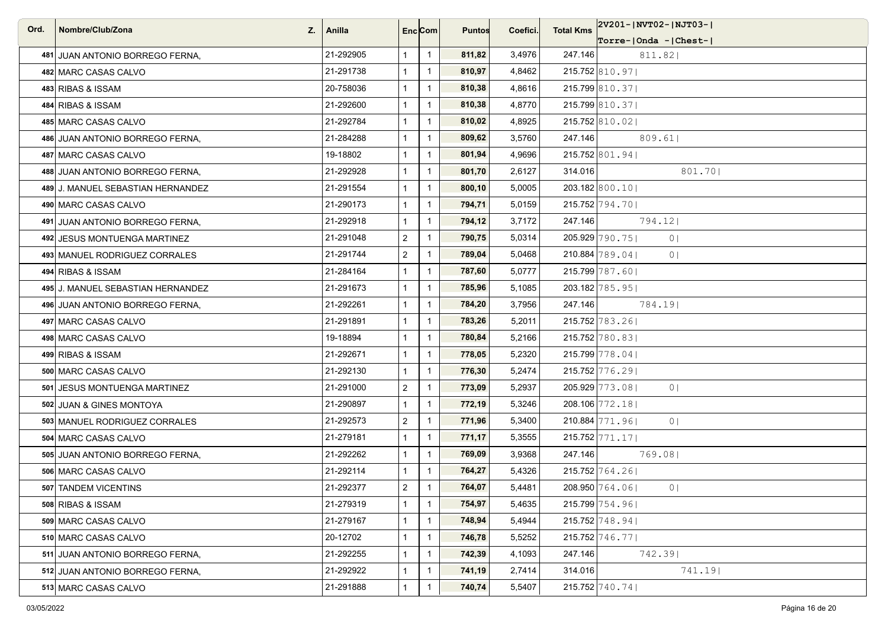| Ord. | Nombre/Club/Zona<br>Z.            | Anilla    |                | Enc <sub>i</sub> Com | <b>Puntos</b> | Coefici. | <b>Total Kms</b> | 2V201- NVT02- NJT03-             |
|------|-----------------------------------|-----------|----------------|----------------------|---------------|----------|------------------|----------------------------------|
|      |                                   |           |                |                      |               |          |                  | $ Torre- Onda -  Chest- $        |
|      | 481 JUAN ANTONIO BORREGO FERNA,   | 21-292905 | $\mathbf{1}$   | $\overline{1}$       | 811,82        | 3,4976   | 247.146          | 811.82                           |
|      | 482 MARC CASAS CALVO              | 21-291738 | $\mathbf{1}$   | $\overline{1}$       | 810,97        | 4,8462   |                  | 215.752 810.97                   |
|      | 483 RIBAS & ISSAM                 | 20-758036 | $\mathbf{1}$   | $\mathbf{1}$         | 810,38        | 4,8616   |                  | 215.799 810.37                   |
|      | 484 RIBAS & ISSAM                 | 21-292600 | $\mathbf{1}$   | $\overline{1}$       | 810,38        | 4,8770   |                  | 215.799 810.37                   |
|      | 485 MARC CASAS CALVO              | 21-292784 | $\mathbf{1}$   | $\overline{1}$       | 810,02        | 4,8925   |                  | 215.752 810.02                   |
|      | 486 JUAN ANTONIO BORREGO FERNA,   | 21-284288 | $\mathbf{1}$   | $\overline{1}$       | 809,62        | 3,5760   | 247.146          | 809.61                           |
|      | 487 MARC CASAS CALVO              | 19-18802  | $\mathbf{1}$   | $\overline{1}$       | 801,94        | 4,9696   |                  | 215.752 801.94                   |
|      | 488 JUAN ANTONIO BORREGO FERNA,   | 21-292928 | $\mathbf{1}$   | $\overline{1}$       | 801,70        | 2,6127   | 314.016          | 801.70                           |
|      | 489 J. MANUEL SEBASTIAN HERNANDEZ | 21-291554 | $\mathbf{1}$   | $\overline{1}$       | 800,10        | 5,0005   |                  | 203.182 800.10                   |
|      | 490 MARC CASAS CALVO              | 21-290173 | $\mathbf{1}$   | $\overline{1}$       | 794,71        | 5,0159   |                  | 215.752 794.701                  |
|      | 491 JUAN ANTONIO BORREGO FERNA,   | 21-292918 | $\mathbf{1}$   | $\overline{1}$       | 794,12        | 3,7172   | 247.146          | 794.12                           |
|      | 492 JESUS MONTUENGA MARTINEZ      | 21-291048 | $\overline{2}$ | $\overline{1}$       | 790,75        | 5,0314   |                  | 205.929 790.75<br>0 <sup>1</sup> |
|      | 493 MANUEL RODRIGUEZ CORRALES     | 21-291744 | $\overline{2}$ | $\overline{1}$       | 789,04        | 5,0468   |                  | 210.884 789.04<br>0 <sub>1</sub> |
|      | 494 RIBAS & ISSAM                 | 21-284164 | $\mathbf{1}$   | $\overline{1}$       | 787,60        | 5,0777   |                  | 215.799 787.60                   |
|      | 495 J. MANUEL SEBASTIAN HERNANDEZ | 21-291673 | $\mathbf{1}$   | $\overline{1}$       | 785,96        | 5,1085   |                  | 203.182 785.95                   |
|      | 496 JUAN ANTONIO BORREGO FERNA,   | 21-292261 | $\mathbf{1}$   | $\overline{1}$       | 784,20        | 3,7956   | 247.146          | 784.19                           |
|      | 497 MARC CASAS CALVO              | 21-291891 | $\mathbf{1}$   | $\overline{1}$       | 783,26        | 5,2011   |                  | 215.752 783.26                   |
|      | 498 MARC CASAS CALVO              | 19-18894  | $\mathbf{1}$   | $\overline{1}$       | 780,84        | 5,2166   |                  | 215.752 780.831                  |
|      | 499 RIBAS & ISSAM                 | 21-292671 | $\mathbf{1}$   | $\overline{1}$       | 778,05        | 5,2320   |                  | 215.799 778.04                   |
|      | 500 MARC CASAS CALVO              | 21-292130 | $\mathbf{1}$   | $\overline{1}$       | 776,30        | 5,2474   |                  | 215.752 776.29                   |
|      | 501 JESUS MONTUENGA MARTINEZ      | 21-291000 | $\overline{a}$ | $\overline{1}$       | 773,09        | 5,2937   |                  | 205.929 773.08<br>0 <sup>1</sup> |
|      | 502 JUAN & GINES MONTOYA          | 21-290897 | $\mathbf{1}$   | $\overline{1}$       | 772,19        | 5,3246   |                  | 208.106 772.18                   |
|      | 503 MANUEL RODRIGUEZ CORRALES     | 21-292573 | $\overline{2}$ | $\overline{1}$       | 771,96        | 5,3400   |                  | 210.884 771.96<br>0 <sup>1</sup> |
|      | 504 MARC CASAS CALVO              | 21-279181 | $\mathbf{1}$   | $\overline{1}$       | 771,17        | 5,3555   |                  | $215.752$ 771.17                 |
|      | 505 JUAN ANTONIO BORREGO FERNA,   | 21-292262 | $\mathbf{1}$   | $\overline{1}$       | 769,09        | 3,9368   | 247.146          | 769.08                           |
|      | 506 MARC CASAS CALVO              | 21-292114 | 1              | $\overline{1}$       | 764,27        | 5,4326   |                  | 215.752 764.26                   |
|      | 507 TANDEM VICENTINS              | 21-292377 | $\overline{2}$ | $\overline{1}$       | 764,07        | 5,4481   |                  | 208.950 764.06<br>0 <sup>1</sup> |
|      | 508 RIBAS & ISSAM                 | 21-279319 | $\mathbf{1}$   | $\overline{1}$       | 754,97        | 5,4635   |                  | 215.799 754.96                   |
|      | 509 MARC CASAS CALVO              | 21-279167 | $\mathbf{1}$   | $\mathbf{1}$         | 748,94        | 5,4944   |                  | 215.752 748.94                   |
|      | 510 MARC CASAS CALVO              | 20-12702  | $\mathbf{1}$   | $\overline{1}$       | 746,78        | 5,5252   |                  | $215.752$ 746.771                |
|      | 511 JUAN ANTONIO BORREGO FERNA,   | 21-292255 | $\mathbf{1}$   | $\overline{1}$       | 742,39        | 4,1093   | 247.146          | 742.39                           |
|      | 512 JUAN ANTONIO BORREGO FERNA,   | 21-292922 | $\mathbf{1}$   | $\overline{1}$       | 741,19        | 2,7414   | 314.016          | 741.19                           |
|      | 513 MARC CASAS CALVO              | 21-291888 | $\mathbf{1}$   | $\mathbf{1}$         | 740,74        | 5,5407   |                  | 215.752 740.74                   |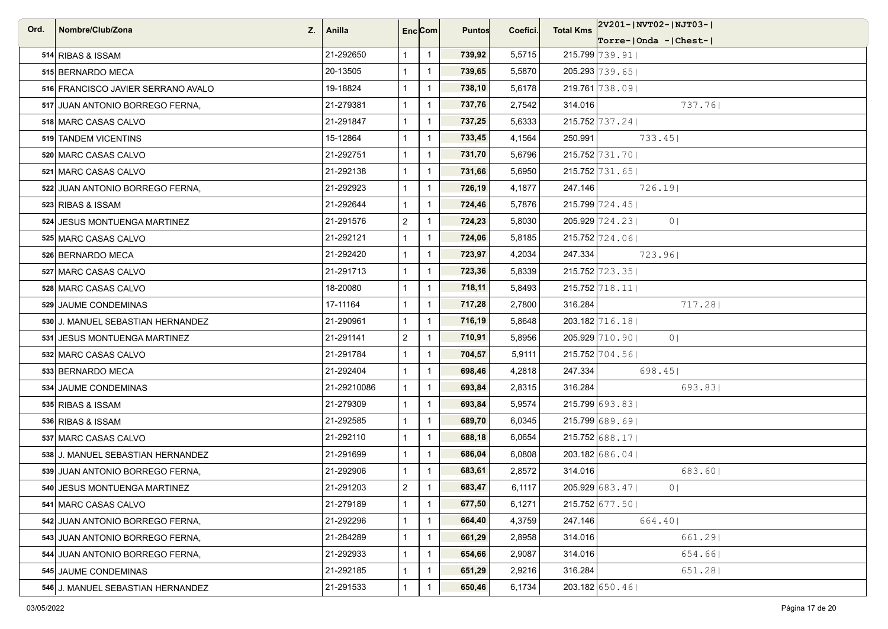| Ord. | Nombre/Club/Zona                   | Z.   Anilla |                | Enc <sub>i</sub> Com | <b>Puntos</b> | Coefici. | <b>Total Kms</b> | 2V201- NVT02- NJT03-              |
|------|------------------------------------|-------------|----------------|----------------------|---------------|----------|------------------|-----------------------------------|
|      |                                    |             |                |                      |               |          |                  | Torre- Onda - Chest-              |
|      | 514 RIBAS & ISSAM                  | 21-292650   | $\mathbf{1}$   | $\overline{1}$       | 739,92        | 5,5715   |                  | 215.799 739.91                    |
|      | 515 BERNARDO MECA                  | 20-13505    | $\mathbf{1}$   | $\mathbf{1}$         | 739,65        | 5,5870   |                  | 205.293 739.65                    |
|      | 516 FRANCISCO JAVIER SERRANO AVALO | 19-18824    | $\mathbf{1}$   | $\mathbf{1}$         | 738,10        | 5,6178   |                  | 219.761 738.09                    |
|      | 517 JUAN ANTONIO BORREGO FERNA,    | 21-279381   | $\mathbf{1}$   | $\overline{1}$       | 737,76        | 2,7542   | 314.016          | 737.76                            |
|      | 518 MARC CASAS CALVO               | 21-291847   | $\mathbf{1}$   | $\overline{1}$       | 737,25        | 5,6333   |                  | 215.752 737.24                    |
|      | 519 TANDEM VICENTINS               | 15-12864    | $\mathbf{1}$   | $\mathbf{1}$         | 733,45        | 4,1564   | 250.991          | 733.45                            |
|      | 520 MARC CASAS CALVO               | 21-292751   | $\mathbf{1}$   | $\mathbf{1}$         | 731,70        | 5,6796   |                  | 215.752 731.70                    |
|      | 521 MARC CASAS CALVO               | 21-292138   | $\mathbf{1}$   | $\overline{1}$       | 731,66        | 5,6950   |                  | 215.752 731.65                    |
|      | 522 JUAN ANTONIO BORREGO FERNA,    | 21-292923   | $\mathbf{1}$   | $\overline{1}$       | 726,19        | 4,1877   | 247.146          | 726.19                            |
|      | 523 RIBAS & ISSAM                  | 21-292644   | $\mathbf{1}$   | $\mathbf{1}$         | 724,46        | 5,7876   |                  | 215.799 724.45                    |
|      | 524 JESUS MONTUENGA MARTINEZ       | 21-291576   | $\overline{2}$ | $\overline{1}$       | 724,23        | 5,8030   |                  | 205.929 724.23<br>0 <sup>1</sup>  |
|      | 525 MARC CASAS CALVO               | 21-292121   | $\mathbf{1}$   | $\overline{1}$       | 724,06        | 5,8185   |                  | $215.752$ 724.06                  |
|      | 526 BERNARDO MECA                  | 21-292420   | $\mathbf{1}$   | $\overline{1}$       | 723,97        | 4,2034   | 247.334          | 723.961                           |
|      | 527 MARC CASAS CALVO               | 21-291713   | $\mathbf{1}$   | $\overline{1}$       | 723,36        | 5,8339   |                  | 215.752 723.35                    |
|      | 528 MARC CASAS CALVO               | 18-20080    | $\mathbf{1}$   | $\overline{1}$       | 718,11        | 5,8493   |                  | 215.752 718.11                    |
|      | 529 JAUME CONDEMINAS               | 17-11164    | $\mathbf{1}$   | $\mathbf{1}$         | 717,28        | 2,7800   | 316.284          | 717.28                            |
|      | 530 J. MANUEL SEBASTIAN HERNANDEZ  | 21-290961   | $\mathbf{1}$   | $\overline{1}$       | 716,19        | 5,8648   |                  | 203.182 716.18                    |
|      | 531 JESUS MONTUENGA MARTINEZ       | 21-291141   | $\overline{2}$ | $\mathbf{1}$         | 710,91        | 5,8956   |                  | 205.929 710.90<br>0 <sup>1</sup>  |
|      | 532 MARC CASAS CALVO               | 21-291784   | $\mathbf{1}$   | $\mathbf{1}$         | 704,57        | 5,9111   |                  | 215.752 704.56                    |
|      | 533 BERNARDO MECA                  | 21-292404   | $\mathbf{1}$   | $\overline{1}$       | 698,46        | 4,2818   | 247.334          | 698.451                           |
|      | 534 JAUME CONDEMINAS               | 21-29210086 | $\mathbf{1}$   | $\mathbf{1}$         | 693,84        | 2,8315   | 316.284          | 693.831                           |
|      | 535 RIBAS & ISSAM                  | 21-279309   | $\mathbf{1}$   | $\mathbf{1}$         | 693,84        | 5,9574   |                  | 215.799 693.83                    |
|      | 536 RIBAS & ISSAM                  | 21-292585   | $\mathbf{1}$   | $\mathbf{1}$         | 689,70        | 6,0345   |                  | 215.799 689.69                    |
|      | 537 MARC CASAS CALVO               | 21-292110   | $\mathbf{1}$   | $\overline{1}$       | 688,18        | 6,0654   |                  | 215.752 688.17                    |
|      | 538 J. MANUEL SEBASTIAN HERNANDEZ  | 21-291699   | $\mathbf{1}$   | $\overline{1}$       | 686,04        | 6,0808   |                  | 203.182 686.04                    |
|      | 539 JUAN ANTONIO BORREGO FERNA,    | 21-292906   | $\mathbf{1}$   | $\mathbf{1}$         | 683,61        | 2,8572   | 314.016          | 683.60                            |
|      | 540 JESUS MONTUENGA MARTINEZ       | 21-291203   | $\overline{2}$ | $\overline{1}$       | 683,47        | 6,1117   |                  | 205.929 683.471<br>0 <sub>1</sub> |
|      | 541 MARC CASAS CALVO               | 21-279189   | $\mathbf{1}$   | $\overline{1}$       | 677,50        | 6,1271   |                  | $215.752$ 677.50                  |
|      | 542 JUAN ANTONIO BORREGO FERNA,    | 21-292296   | $\mathbf{1}$   | $\mathbf{1}$         | 664,40        | 4,3759   | 247.146          | 664.40                            |
|      | 543 JUAN ANTONIO BORREGO FERNA.    | 21-284289   | $\mathbf{1}$   | $\mathbf{1}$         | 661,29        | 2,8958   | 314.016          | 661.29                            |
|      | 544 JUAN ANTONIO BORREGO FERNA.    | 21-292933   | $\mathbf{1}$   | $\overline{1}$       | 654,66        | 2,9087   | 314.016          | 654.66                            |
|      | 545 JAUME CONDEMINAS               | 21-292185   | $\mathbf{1}$   | $\mathbf{1}$         | 651,29        | 2,9216   | 316.284          | 651.28                            |
|      | 546 J. MANUEL SEBASTIAN HERNANDEZ  | 21-291533   | $\mathbf{1}$   | $\overline{1}$       | 650,46        | 6,1734   |                  | 203.182 650.46                    |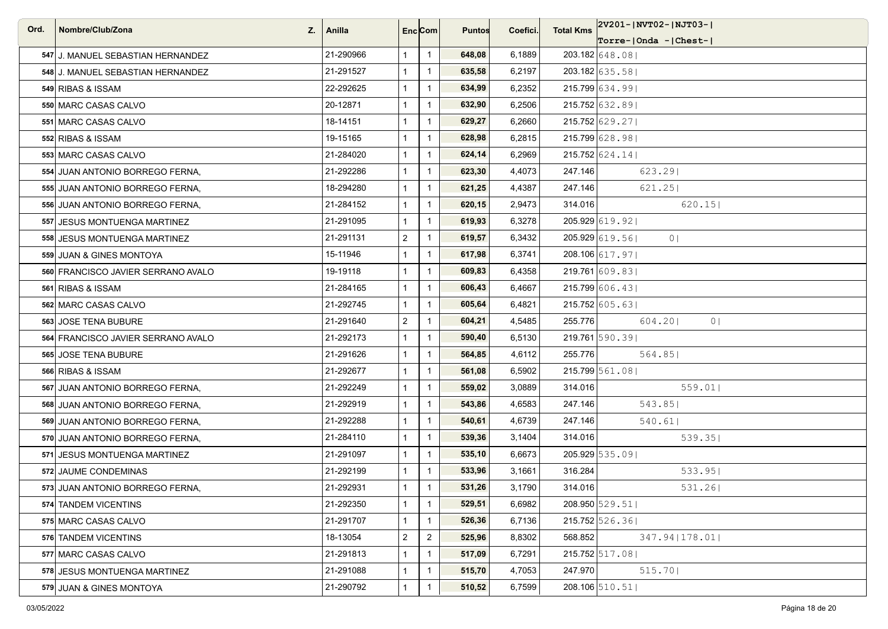| Ord. | Nombre/Club/Zona<br>Z.             | Anilla    |                | Enc <sub>i</sub> Com | <b>Puntos</b> | Coefici. | <b>Total Kms</b> | 2V201- NVT02- NJT03-             |
|------|------------------------------------|-----------|----------------|----------------------|---------------|----------|------------------|----------------------------------|
|      |                                    |           |                |                      |               |          |                  | Torre- Onda - Chest-             |
|      | 547 J. MANUEL SEBASTIAN HERNANDEZ  | 21-290966 | $\mathbf{1}$   | $\overline{1}$       | 648,08        | 6,1889   |                  | $203.182$ 648.08                 |
|      | 548 J. MANUEL SEBASTIAN HERNANDEZ  | 21-291527 | $\mathbf{1}$   | $\overline{1}$       | 635,58        | 6,2197   |                  | 203.182 635.58                   |
|      | 549 RIBAS & ISSAM                  | 22-292625 | $\mathbf{1}$   | $\overline{1}$       | 634,99        | 6,2352   |                  | 215.799 634.99                   |
|      | 550 MARC CASAS CALVO               | 20-12871  | $\mathbf{1}$   | $\overline{1}$       | 632,90        | 6,2506   |                  | 215.752 632.89                   |
|      | 551 MARC CASAS CALVO               | 18-14151  | $\mathbf{1}$   | $\overline{1}$       | 629,27        | 6,2660   |                  | 215.752 629.27                   |
|      | 552 RIBAS & ISSAM                  | 19-15165  | $\mathbf{1}$   | $\overline{1}$       | 628,98        | 6,2815   |                  | 215.799 628.98                   |
|      | 553 MARC CASAS CALVO               | 21-284020 | $\mathbf{1}$   | $\overline{1}$       | 624,14        | 6,2969   |                  | $215.752$ 624.14                 |
|      | 554 JUAN ANTONIO BORREGO FERNA.    | 21-292286 | $\mathbf{1}$   | $\overline{1}$       | 623,30        | 4,4073   | 247.146          | 623.29                           |
|      | 555 JUAN ANTONIO BORREGO FERNA,    | 18-294280 | $\mathbf{1}$   | $\overline{1}$       | 621,25        | 4,4387   | 247.146          | 621.25                           |
|      | 556 JUAN ANTONIO BORREGO FERNA,    | 21-284152 | $\mathbf{1}$   | $\overline{1}$       | 620,15        | 2,9473   | 314.016          | 620.15                           |
|      | 557 JESUS MONTUENGA MARTINEZ       | 21-291095 | $\mathbf{1}$   | $\overline{1}$       | 619,93        | 6,3278   |                  | 205.929 619.92                   |
|      | 558 JESUS MONTUENGA MARTINEZ       | 21-291131 | $\overline{2}$ | $\overline{1}$       | 619,57        | 6,3432   |                  | 205.929 619.56<br>0 <sup>1</sup> |
|      | 559 JUAN & GINES MONTOYA           | 15-11946  | $\mathbf{1}$   | $\overline{1}$       | 617,98        | 6,3741   |                  | 208.106 617.97                   |
|      | 560 FRANCISCO JAVIER SERRANO AVALO | 19-19118  | $\mathbf{1}$   | $\overline{1}$       | 609,83        | 6,4358   |                  | 219.761 609.83                   |
|      | 561 RIBAS & ISSAM                  | 21-284165 | $\mathbf{1}$   | $\overline{1}$       | 606,43        | 6,4667   |                  | 215.799 606.431                  |
|      | 562 MARC CASAS CALVO               | 21-292745 | $\mathbf{1}$   | $\overline{1}$       | 605,64        | 6,4821   |                  | $215.752$ 605.63                 |
|      | 563 JOSE TENA BUBURE               | 21-291640 | $\overline{2}$ | $\overline{1}$       | 604,21        | 4,5485   | 255.776          | 604.201<br>0 <sup>1</sup>        |
|      | 564 FRANCISCO JAVIER SERRANO AVALO | 21-292173 | $\mathbf{1}$   | $\overline{1}$       | 590,40        | 6,5130   |                  | 219.761 590.391                  |
|      | 565 JOSE TENA BUBURE               | 21-291626 | $\mathbf{1}$   | $\overline{1}$       | 564,85        | 4,6112   | 255.776          | 564.85                           |
|      | 566 RIBAS & ISSAM                  | 21-292677 | $\mathbf{1}$   | $\overline{1}$       | 561,08        | 6,5902   |                  | 215.799 561.08                   |
|      | 567 JUAN ANTONIO BORREGO FERNA,    | 21-292249 | $\mathbf{1}$   | $\overline{1}$       | 559,02        | 3,0889   | 314.016          | 559.01                           |
|      | 568 JUAN ANTONIO BORREGO FERNA,    | 21-292919 | $\mathbf{1}$   | $\overline{1}$       | 543,86        | 4,6583   | 247.146          | 543.85                           |
|      | 569 JUAN ANTONIO BORREGO FERNA,    | 21-292288 | $\mathbf{1}$   | $\overline{1}$       | 540,61        | 4,6739   | 247.146          | 540.61                           |
|      | 570 JUAN ANTONIO BORREGO FERNA,    | 21-284110 | $\mathbf{1}$   | $\overline{1}$       | 539,36        | 3,1404   | 314.016          | 539.35                           |
|      | 571 JESUS MONTUENGA MARTINEZ       | 21-291097 | $\mathbf{1}$   | $\overline{1}$       | 535,10        | 6,6673   |                  | 205.929 535.09                   |
|      | 572 JAUME CONDEMINAS               | 21-292199 | $\mathbf{1}$   | $\overline{1}$       | 533,96        | 3,1661   | 316.284          | 533.95                           |
|      | 573 JUAN ANTONIO BORREGO FERNA,    | 21-292931 | $\mathbf{1}$   | -1                   | 531,26        | 3,1790   | 314.016          | 531.261                          |
|      | 574 TANDEM VICENTINS               | 21-292350 | $\mathbf{1}$   | $\overline{1}$       | 529,51        | 6,6982   |                  | 208.950 529.51                   |
|      | 575 MARC CASAS CALVO               | 21-291707 | $\mathbf{1}$   | $\overline{1}$       | 526,36        | 6,7136   |                  | 215.752 526.361                  |
|      | 576 TANDEM VICENTINS               | 18-13054  | $\overline{a}$ | $\overline{2}$       | 525,96        | 8,8302   | 568.852          | 347.94   178.01                  |
|      | 577 MARC CASAS CALVO               | 21-291813 | $\mathbf{1}$   | $\overline{1}$       | 517,09        | 6,7291   |                  | 215.752 517.08                   |
|      | 578 JESUS MONTUENGA MARTINEZ       | 21-291088 | $\mathbf{1}$   | $\overline{1}$       | 515,70        | 4,7053   | 247.970          | 515.70                           |
|      | 579 JUAN & GINES MONTOYA           | 21-290792 | $\mathbf{1}$   | $\overline{1}$       | 510,52        | 6,7599   |                  | 208.106 510.51                   |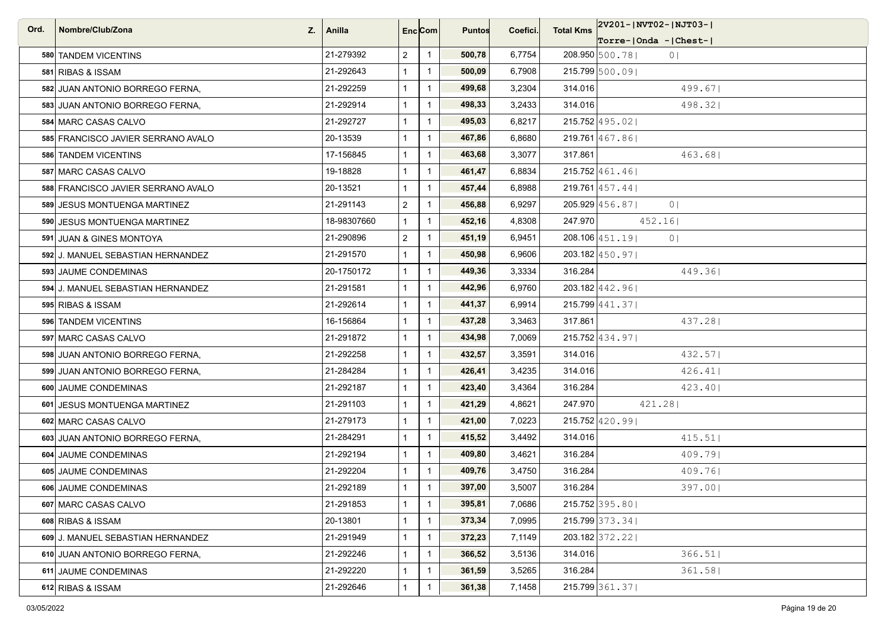| Ord. | Nombre/Club/Zona<br>Z.             | Anilla      | Enc Com        |                | <b>Puntos</b> | Coefici. | <b>Total Kms</b> | 2V201-JNVT02-JNJT03-J            |
|------|------------------------------------|-------------|----------------|----------------|---------------|----------|------------------|----------------------------------|
|      |                                    |             |                |                |               |          |                  | $Torre-IOnda -  Check-I $        |
|      | 580 TANDEM VICENTINS               | 21-279392   | $\overline{2}$ | $\overline{1}$ | 500,78        | 6,7754   |                  | 208.950 500.78<br>0 <sub>1</sub> |
|      | 581 RIBAS & ISSAM                  | 21-292643   | $\mathbf{1}$   | $\mathbf{1}$   | 500,09        | 6,7908   |                  | 215.799 500.09                   |
|      | 582 JUAN ANTONIO BORREGO FERNA,    | 21-292259   | $\mathbf{1}$   | $\overline{1}$ | 499,68        | 3,2304   | 314.016          | 499.671                          |
|      | 583 JUAN ANTONIO BORREGO FERNA,    | 21-292914   | $\mathbf{1}$   | $\overline{1}$ | 498,33        | 3,2433   | 314.016          | 498.32                           |
|      | 584 MARC CASAS CALVO               | 21-292727   | $\mathbf{1}$   | $\mathbf{1}$   | 495,03        | 6,8217   |                  | $215.752$ 495.02                 |
|      | 585 FRANCISCO JAVIER SERRANO AVALO | 20-13539    | $\mathbf{1}$   | $\mathbf{1}$   | 467,86        | 6,8680   |                  | 219.761 467.86                   |
|      | 586 TANDEM VICENTINS               | 17-156845   | $\mathbf{1}$   | $\mathbf{1}$   | 463,68        | 3,3077   | 317.861          | 463.68                           |
|      | 587 MARC CASAS CALVO               | 19-18828    | $\mathbf{1}$   | $\mathbf{1}$   | 461,47        | 6,8834   |                  | $215.752$  461.46                |
|      | 588 FRANCISCO JAVIER SERRANO AVALO | 20-13521    | $\mathbf{1}$   | $\mathbf{1}$   | 457,44        | 6,8988   |                  | $219.761$ 457.44                 |
|      | 589 JESUS MONTUENGA MARTINEZ       | 21-291143   | $\overline{2}$ | $\mathbf{1}$   | 456,88        | 6,9297   |                  | 205.929 456.87<br>0 <sub>1</sub> |
|      | 590 JESUS MONTUENGA MARTINEZ       | 18-98307660 | $\mathbf{1}$   | $\mathbf{1}$   | 452,16        | 4,8308   | 247.970          | 452.16                           |
|      | 591 JUAN & GINES MONTOYA           | 21-290896   | $\overline{2}$ | $\overline{1}$ | 451,19        | 6,9451   |                  | 208.106 451.19<br>0 <sup>1</sup> |
|      | 592 J. MANUEL SEBASTIAN HERNANDEZ  | 21-291570   | $\mathbf{1}$   | $\mathbf{1}$   | 450,98        | 6,9606   |                  | $203.182$ 450.97                 |
|      | 593 JAUME CONDEMINAS               | 20-1750172  | $\mathbf{1}$   | $\mathbf{1}$   | 449,36        | 3,3334   | 316.284          | 449.361                          |
|      | 594 J. MANUEL SEBASTIAN HERNANDEZ  | 21-291581   | $\mathbf{1}$   | $\mathbf{1}$   | 442,96        | 6,9760   |                  | $203.182$ 442.96                 |
|      | 595 RIBAS & ISSAM                  | 21-292614   | $\mathbf{1}$   | $\mathbf{1}$   | 441,37        | 6,9914   |                  | $215.799$  441.37                |
|      | 596 TANDEM VICENTINS               | 16-156864   | $\mathbf{1}$   | $\overline{1}$ | 437,28        | 3,3463   | 317.861          | 437.28                           |
|      | 597 MARC CASAS CALVO               | 21-291872   | $\mathbf{1}$   | $\mathbf{1}$   | 434,98        | 7,0069   |                  | $215.752$ 434.97                 |
|      | 598 JUAN ANTONIO BORREGO FERNA,    | 21-292258   | $\mathbf{1}$   | $\overline{1}$ | 432,57        | 3,3591   | 314.016          | 432.57                           |
|      | 599 JUAN ANTONIO BORREGO FERNA,    | 21-284284   | $\mathbf{1}$   | $\overline{1}$ | 426,41        | 3,4235   | 314.016          | 426.41                           |
|      | 600 JAUME CONDEMINAS               | 21-292187   | $\mathbf{1}$   | $\mathbf{1}$   | 423,40        | 3,4364   | 316.284          | 423.40                           |
|      | 601 JESUS MONTUENGA MARTINEZ       | 21-291103   | $\mathbf{1}$   | $\mathbf{1}$   | 421,29        | 4,8621   | 247.970          | 421.28                           |
|      | 602 MARC CASAS CALVO               | 21-279173   | $\mathbf{1}$   | $\overline{1}$ | 421,00        | 7,0223   |                  | $215.752$ 420.99                 |
|      | 603 JUAN ANTONIO BORREGO FERNA,    | 21-284291   | $\mathbf{1}$   | $\overline{1}$ | 415,52        | 3,4492   | 314.016          | 415.51                           |
|      | 604 JAUME CONDEMINAS               | 21-292194   | $\mathbf{1}$   | $\mathbf{1}$   | 409,80        | 3,4621   | 316.284          | 409.79                           |
|      | 605 JAUME CONDEMINAS               | 21-292204   | $\mathbf{1}$   | $\overline{1}$ | 409,76        | 3,4750   | 316.284          | 409.76                           |
|      | 606 JAUME CONDEMINAS               | 21-292189   | $\mathbf{1}$   | $\mathbf{1}$   | 397,00        | 3,5007   | 316.284          | 397.001                          |
|      | 607 MARC CASAS CALVO               | 21-291853   | $\mathbf{1}$   | $\overline{1}$ | 395,81        | 7,0686   |                  | $215.752$ 395.80                 |
|      | 608 RIBAS & ISSAM                  | 20-13801    | $\mathbf{1}$   | $\mathbf{1}$   | 373,34        | 7,0995   |                  | $215.799$ 373.34                 |
|      | 609 J. MANUEL SEBASTIAN HERNANDEZ  | 21-291949   | $\mathbf{1}$   | $\mathbf{1}$   | 372,23        | 7,1149   |                  | $203.182$ 372.22                 |
|      | 610 JUAN ANTONIO BORREGO FERNA,    | 21-292246   | $\mathbf{1}$   | $\mathbf{1}$   | 366,52        | 3,5136   | 314.016          | 366.51                           |
|      | 611 JAUME CONDEMINAS               | 21-292220   | $\mathbf{1}$   | $\mathbf{1}$   | 361,59        | 3,5265   | 316.284          | 361.58                           |
|      | 612 RIBAS & ISSAM                  | 21-292646   | $\mathbf{1}$   | $\mathbf{1}$   | 361,38        | 7,1458   |                  | 215.799 361.37                   |